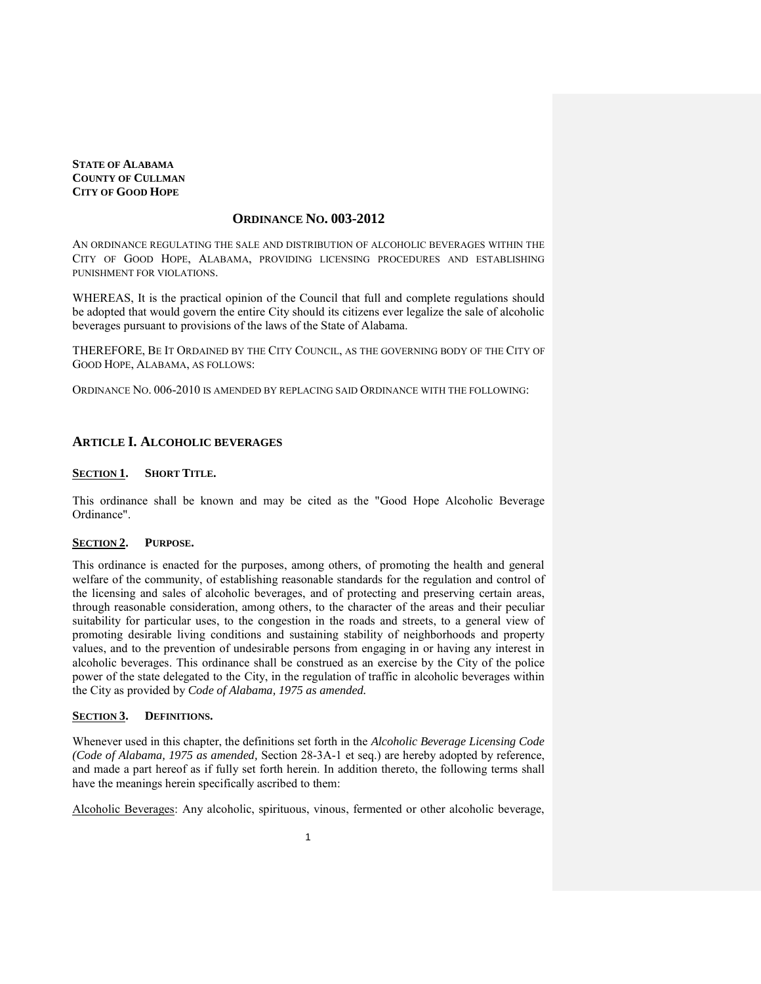**STATE OF ALABAMA COUNTY OF CULLMAN CITY OF GOOD HOPE**

# **ORDINANCE NO. 003-2012**

AN ORDINANCE REGULATING THE SALE AND DISTRIBUTION OF ALCOHOLIC BEVERAGES WITHIN THE CITY OF GOOD HOPE, ALABAMA, PROVIDING LICENSING PROCEDURES AND ESTABLISHING PUNISHMENT FOR VIOLATIONS.

WHEREAS, It is the practical opinion of the Council that full and complete regulations should be adopted that would govern the entire City should its citizens ever legalize the sale of alcoholic beverages pursuant to provisions of the laws of the State of Alabama.

THEREFORE, BE IT ORDAINED BY THE CITY COUNCIL, AS THE GOVERNING BODY OF THE CITY OF GOOD HOPE, ALABAMA, AS FOLLOWS:

ORDINANCE NO. 006-2010 IS AMENDED BY REPLACING SAID ORDINANCE WITH THE FOLLOWING:

## **ARTICLE I. ALCOHOLIC BEVERAGES**

## **SECTION 1. SHORT TITLE.**

This ordinance shall be known and may be cited as the "Good Hope Alcoholic Beverage Ordinance".

## **SECTION 2. PURPOSE.**

This ordinance is enacted for the purposes, among others, of promoting the health and general welfare of the community, of establishing reasonable standards for the regulation and control of the licensing and sales of alcoholic beverages, and of protecting and preserving certain areas, through reasonable consideration, among others, to the character of the areas and their peculiar suitability for particular uses, to the congestion in the roads and streets, to a general view of promoting desirable living conditions and sustaining stability of neighborhoods and property values, and to the prevention of undesirable persons from engaging in or having any interest in alcoholic beverages. This ordinance shall be construed as an exercise by the City of the police power of the state delegated to the City, in the regulation of traffic in alcoholic beverages within the City as provided by *Code of Alabama, 1975 as amended.*

# **SECTION 3. DEFINITIONS.**

Whenever used in this chapter, the definitions set forth in the *Alcoholic Beverage Licensing Code (Code of Alabama, 1975 as amended,* Section 28-3A-1 et seq.) are hereby adopted by reference, and made a part hereof as if fully set forth herein. In addition thereto, the following terms shall have the meanings herein specifically ascribed to them:

Alcoholic Beverages: Any alcoholic, spirituous, vinous, fermented or other alcoholic beverage,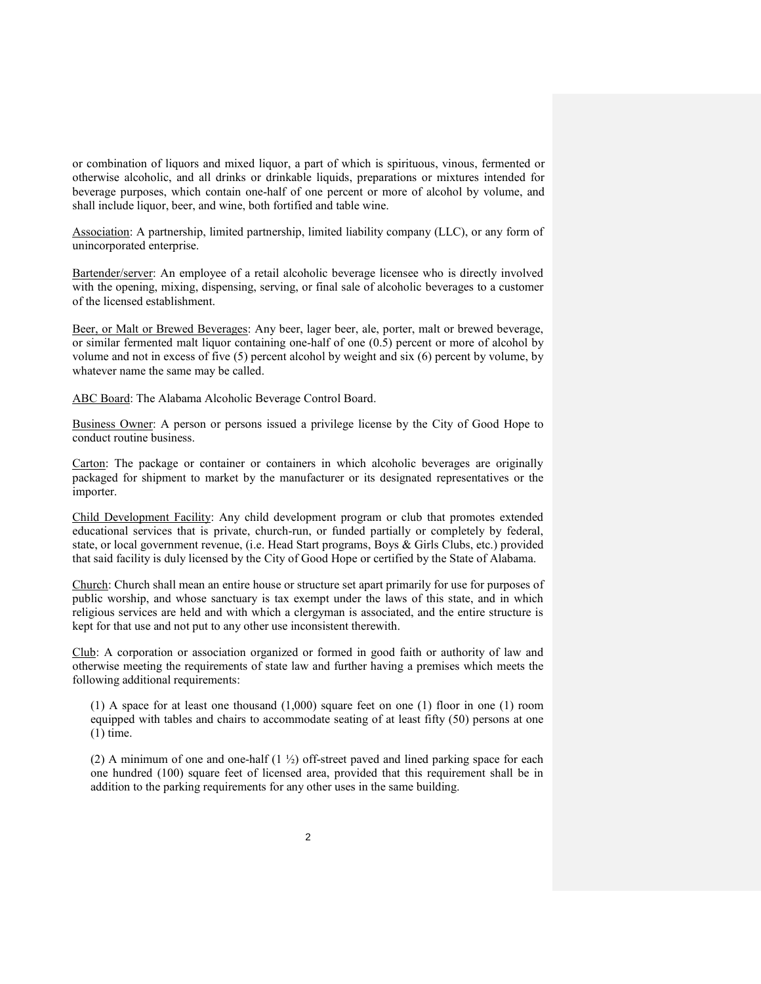or combination of liquors and mixed liquor, a part of which is spirituous, vinous, fermented or otherwise alcoholic, and all drinks or drinkable liquids, preparations or mixtures intended for beverage purposes, which contain one-half of one percent or more of alcohol by volume, and shall include liquor, beer, and wine, both fortified and table wine.

Association: A partnership, limited partnership, limited liability company (LLC), or any form of unincorporated enterprise.

Bartender/server: An employee of a retail alcoholic beverage licensee who is directly involved with the opening, mixing, dispensing, serving, or final sale of alcoholic beverages to a customer of the licensed establishment.

Beer, or Malt or Brewed Beverages: Any beer, lager beer, ale, porter, malt or brewed beverage, or similar fermented malt liquor containing one-half of one (0.5) percent or more of alcohol by volume and not in excess of five (5) percent alcohol by weight and six (6) percent by volume, by whatever name the same may be called.

ABC Board: The Alabama Alcoholic Beverage Control Board.

Business Owner: A person or persons issued a privilege license by the City of Good Hope to conduct routine business.

Carton: The package or container or containers in which alcoholic beverages are originally packaged for shipment to market by the manufacturer or its designated representatives or the importer.

Child Development Facility: Any child development program or club that promotes extended educational services that is private, church-run, or funded partially or completely by federal, state, or local government revenue, (i.e. Head Start programs, Boys & Girls Clubs, etc.) provided that said facility is duly licensed by the City of Good Hope or certified by the State of Alabama.

Church: Church shall mean an entire house or structure set apart primarily for use for purposes of public worship, and whose sanctuary is tax exempt under the laws of this state, and in which religious services are held and with which a clergyman is associated, and the entire structure is kept for that use and not put to any other use inconsistent therewith.

Club: A corporation or association organized or formed in good faith or authority of law and otherwise meeting the requirements of state law and further having a premises which meets the following additional requirements:

(1) A space for at least one thousand (1,000) square feet on one (1) floor in one (1) room equipped with tables and chairs to accommodate seating of at least fifty (50) persons at one (1) time.

(2) A minimum of one and one-half  $(1 \frac{1}{2})$  off-street paved and lined parking space for each one hundred (100) square feet of licensed area, provided that this requirement shall be in addition to the parking requirements for any other uses in the same building.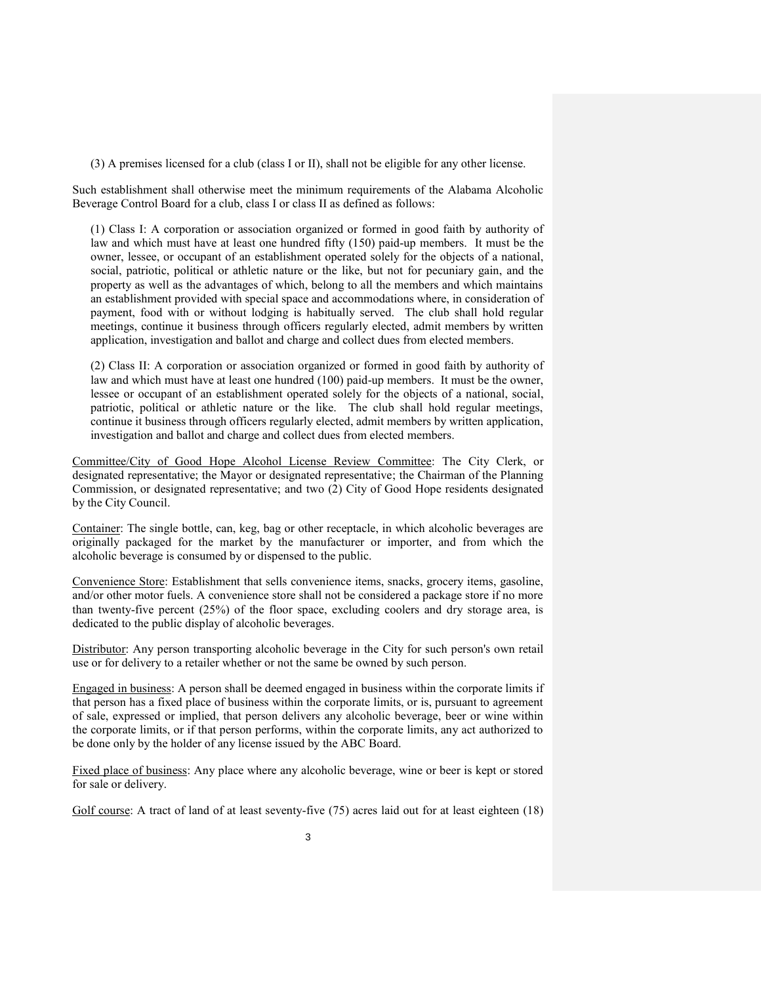(3) A premises licensed for a club (class I or II), shall not be eligible for any other license.

Such establishment shall otherwise meet the minimum requirements of the Alabama Alcoholic Beverage Control Board for a club, class I or class II as defined as follows:

(1) Class I: A corporation or association organized or formed in good faith by authority of law and which must have at least one hundred fifty (150) paid-up members. It must be the owner, lessee, or occupant of an establishment operated solely for the objects of a national, social, patriotic, political or athletic nature or the like, but not for pecuniary gain, and the property as well as the advantages of which, belong to all the members and which maintains an establishment provided with special space and accommodations where, in consideration of payment, food with or without lodging is habitually served. The club shall hold regular meetings, continue it business through officers regularly elected, admit members by written application, investigation and ballot and charge and collect dues from elected members.

(2) Class II: A corporation or association organized or formed in good faith by authority of law and which must have at least one hundred (100) paid-up members. It must be the owner, lessee or occupant of an establishment operated solely for the objects of a national, social, patriotic, political or athletic nature or the like. The club shall hold regular meetings, continue it business through officers regularly elected, admit members by written application, investigation and ballot and charge and collect dues from elected members.

Committee/City of Good Hope Alcohol License Review Committee: The City Clerk, or designated representative; the Mayor or designated representative; the Chairman of the Planning Commission, or designated representative; and two (2) City of Good Hope residents designated by the City Council.

Container: The single bottle, can, keg, bag or other receptacle, in which alcoholic beverages are originally packaged for the market by the manufacturer or importer, and from which the alcoholic beverage is consumed by or dispensed to the public.

Convenience Store: Establishment that sells convenience items, snacks, grocery items, gasoline, and/or other motor fuels. A convenience store shall not be considered a package store if no more than twenty-five percent (25%) of the floor space, excluding coolers and dry storage area, is dedicated to the public display of alcoholic beverages.

Distributor: Any person transporting alcoholic beverage in the City for such person's own retail use or for delivery to a retailer whether or not the same be owned by such person.

Engaged in business: A person shall be deemed engaged in business within the corporate limits if that person has a fixed place of business within the corporate limits, or is, pursuant to agreement of sale, expressed or implied, that person delivers any alcoholic beverage, beer or wine within the corporate limits, or if that person performs, within the corporate limits, any act authorized to be done only by the holder of any license issued by the ABC Board.

Fixed place of business: Any place where any alcoholic beverage, wine or beer is kept or stored for sale or delivery.

Golf course: A tract of land of at least seventy-five (75) acres laid out for at least eighteen (18)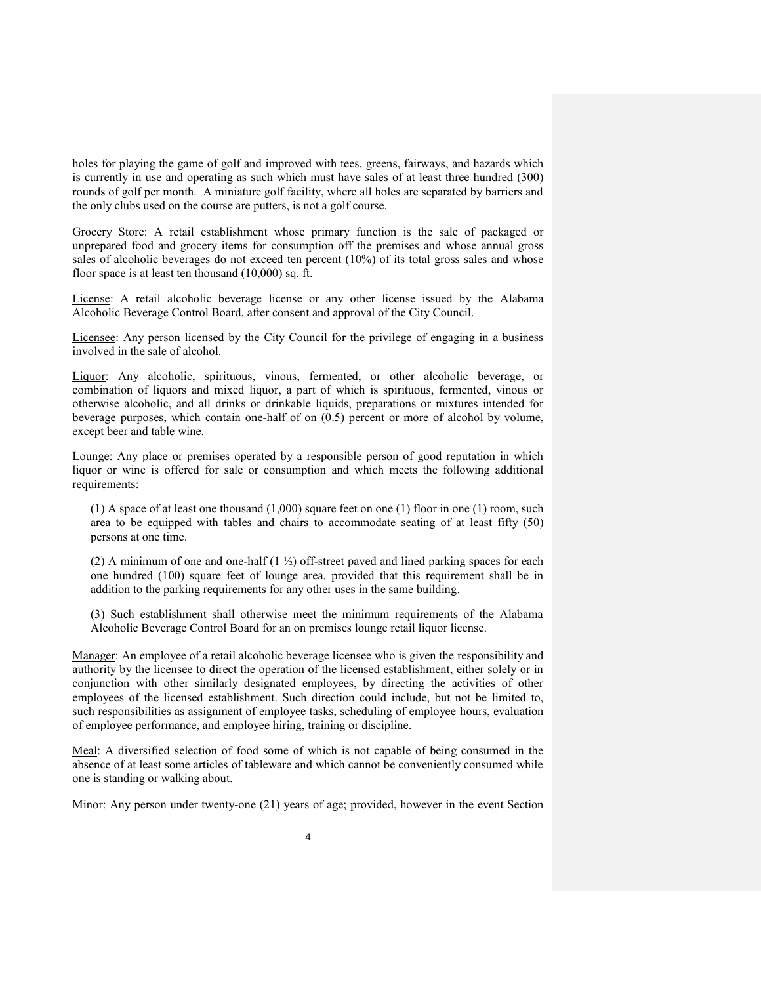holes for playing the game of golf and improved with tees, greens, fairways, and hazards which is currently in use and operating as such which must have sales of at least three hundred (300) rounds of golf per month. A miniature golf facility, where all holes are separated by barriers and the only clubs used on the course are putters, is not a golf course.

Grocery Store: A retail establishment whose primary function is the sale of packaged or unprepared food and grocery items for consumption off the premises and whose annual gross sales of alcoholic beverages do not exceed ten percent (10%) of its total gross sales and whose floor space is at least ten thousand (10,000) sq. ft.

License: A retail alcoholic beverage license or any other license issued by the Alabama Alcoholic Beverage Control Board, after consent and approval of the City Council.

Licensee: Any person licensed by the City Council for the privilege of engaging in a business involved in the sale of alcohol.

Liquor: Any alcoholic, spirituous, vinous, fermented, or other alcoholic beverage, or combination of liquors and mixed liquor, a part of which is spirituous, fermented, vinous or otherwise alcoholic, and all drinks or drinkable liquids, preparations or mixtures intended for beverage purposes, which contain one-half of on (0.5) percent or more of alcohol by volume, except beer and table wine.

Lounge: Any place or premises operated by a responsible person of good reputation in which liquor or wine is offered for sale or consumption and which meets the following additional requirements:

 $(1)$  A space of at least one thousand  $(1,000)$  square feet on one  $(1)$  floor in one  $(1)$  room, such area to be equipped with tables and chairs to accommodate seating of at least fifty (50) persons at one time.

(2) A minimum of one and one-half  $(1 \frac{1}{2})$  off-street paved and lined parking spaces for each one hundred (100) square feet of lounge area, provided that this requirement shall be in addition to the parking requirements for any other uses in the same building.

(3) Such establishment shall otherwise meet the minimum requirements of the Alabama Alcoholic Beverage Control Board for an on premises lounge retail liquor license.

Manager: An employee of a retail alcoholic beverage licensee who is given the responsibility and authority by the licensee to direct the operation of the licensed establishment, either solely or in conjunction with other similarly designated employees, by directing the activities of other employees of the licensed establishment. Such direction could include, but not be limited to, such responsibilities as assignment of employee tasks, scheduling of employee hours, evaluation of employee performance, and employee hiring, training or discipline.

Meal: A diversified selection of food some of which is not capable of being consumed in the absence of at least some articles of tableware and which cannot be conveniently consumed while one is standing or walking about.

Minor: Any person under twenty-one (21) years of age; provided, however in the event Section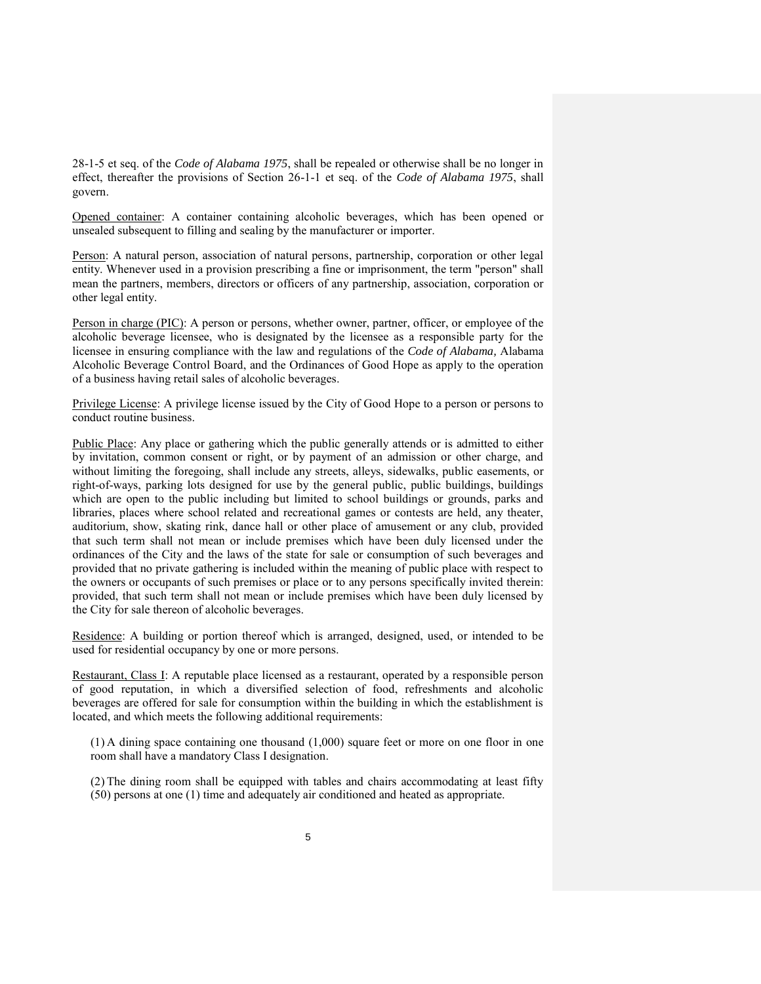28-1-5 et seq. of the *Code of Alabama 1975*, shall be repealed or otherwise shall be no longer in effect, thereafter the provisions of Section 26-1-1 et seq. of the *Code of Alabama 1975*, shall govern.

Opened container: A container containing alcoholic beverages, which has been opened or unsealed subsequent to filling and sealing by the manufacturer or importer.

Person: A natural person, association of natural persons, partnership, corporation or other legal entity. Whenever used in a provision prescribing a fine or imprisonment, the term "person" shall mean the partners, members, directors or officers of any partnership, association, corporation or other legal entity.

Person in charge (PIC): A person or persons, whether owner, partner, officer, or employee of the alcoholic beverage licensee, who is designated by the licensee as a responsible party for the licensee in ensuring compliance with the law and regulations of the *Code of Alabama,* Alabama Alcoholic Beverage Control Board, and the Ordinances of Good Hope as apply to the operation of a business having retail sales of alcoholic beverages.

Privilege License: A privilege license issued by the City of Good Hope to a person or persons to conduct routine business.

Public Place: Any place or gathering which the public generally attends or is admitted to either by invitation, common consent or right, or by payment of an admission or other charge, and without limiting the foregoing, shall include any streets, alleys, sidewalks, public easements, or right-of-ways, parking lots designed for use by the general public, public buildings, buildings which are open to the public including but limited to school buildings or grounds, parks and libraries, places where school related and recreational games or contests are held, any theater, auditorium, show, skating rink, dance hall or other place of amusement or any club, provided that such term shall not mean or include premises which have been duly licensed under the ordinances of the City and the laws of the state for sale or consumption of such beverages and provided that no private gathering is included within the meaning of public place with respect to the owners or occupants of such premises or place or to any persons specifically invited therein: provided, that such term shall not mean or include premises which have been duly licensed by the City for sale thereon of alcoholic beverages.

Residence: A building or portion thereof which is arranged, designed, used, or intended to be used for residential occupancy by one or more persons.

Restaurant, Class I: A reputable place licensed as a restaurant, operated by a responsible person of good reputation, in which a diversified selection of food, refreshments and alcoholic beverages are offered for sale for consumption within the building in which the establishment is located, and which meets the following additional requirements:

(1) A dining space containing one thousand (1,000) square feet or more on one floor in one room shall have a mandatory Class I designation.

(2) The dining room shall be equipped with tables and chairs accommodating at least fifty (50) persons at one (1) time and adequately air conditioned and heated as appropriate.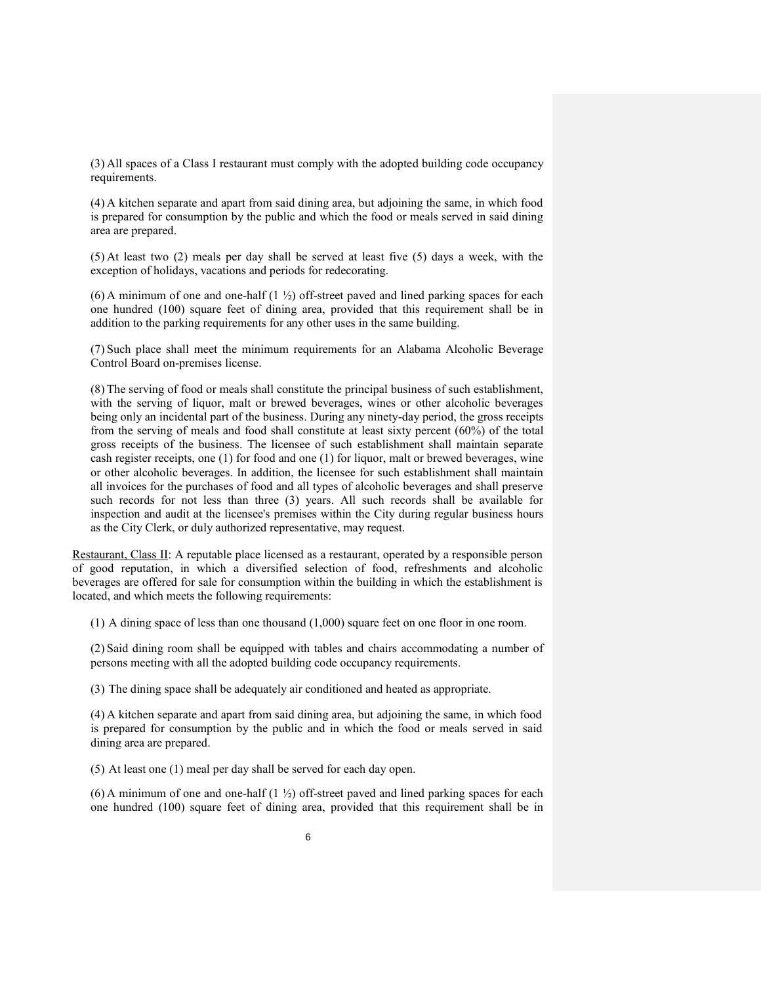(3) All spaces of a Class I restaurant must comply with the adopted building code occupancy requirements.

(4) A kitchen separate and apart from said dining area, but adjoining the same, in which food is prepared for consumption by the public and which the food or meals served in said dining area are prepared.

(5) At least two (2) meals per day shall be served at least five (5) days a week, with the exception of holidays, vacations and periods for redecorating.

(6) A minimum of one and one-half  $(1 \frac{1}{2})$  off-street paved and lined parking spaces for each one hundred (100) square feet of dining area, provided that this requirement shall be in addition to the parking requirements for any other uses in the same building.

(7) Such place shall meet the minimum requirements for an Alabama Alcoholic Beverage Control Board on-premises license.

(8) The serving of food or meals shall constitute the principal business of such establishment, with the serving of liquor, malt or brewed beverages, wines or other alcoholic beverages being only an incidental part of the business. During any ninety-day period, the gross receipts from the serving of meals and food shall constitute at least sixty percent (60%) of the total gross receipts of the business. The licensee of such establishment shall maintain separate cash register receipts, one (1) for food and one (1) for liquor, malt or brewed beverages, wine or other alcoholic beverages. In addition, the licensee for such establishment shall maintain all invoices for the purchases of food and all types of alcoholic beverages and shall preserve such records for not less than three (3) years. All such records shall be available for inspection and audit at the licensee's premises within the City during regular business hours as the City Clerk, or duly authorized representative, may request.

Restaurant, Class II: A reputable place licensed as a restaurant, operated by a responsible person of good reputation, in which a diversified selection of food, refreshments and alcoholic beverages are offered for sale for consumption within the building in which the establishment is located, and which meets the following requirements:

(1) A dining space of less than one thousand (1,000) square feet on one floor in one room.

(2) Said dining room shall be equipped with tables and chairs accommodating a number of persons meeting with all the adopted building code occupancy requirements.

(3) The dining space shall be adequately air conditioned and heated as appropriate.

(4) A kitchen separate and apart from said dining area, but adjoining the same, in which food is prepared for consumption by the public and in which the food or meals served in said dining area are prepared.

(5) At least one (1) meal per day shall be served for each day open.

(6) A minimum of one and one-half  $(1 \frac{1}{2})$  off-street paved and lined parking spaces for each one hundred (100) square feet of dining area, provided that this requirement shall be in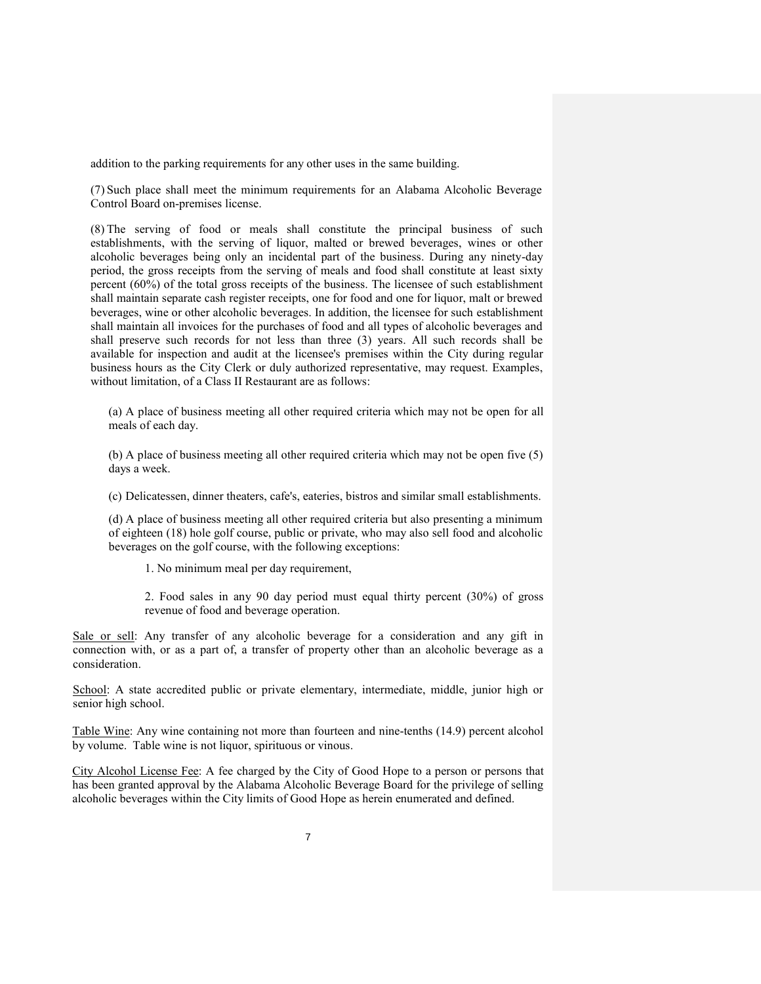addition to the parking requirements for any other uses in the same building.

(7) Such place shall meet the minimum requirements for an Alabama Alcoholic Beverage Control Board on-premises license.

(8) The serving of food or meals shall constitute the principal business of such establishments, with the serving of liquor, malted or brewed beverages, wines or other alcoholic beverages being only an incidental part of the business. During any ninety-day period, the gross receipts from the serving of meals and food shall constitute at least sixty percent (60%) of the total gross receipts of the business. The licensee of such establishment shall maintain separate cash register receipts, one for food and one for liquor, malt or brewed beverages, wine or other alcoholic beverages. In addition, the licensee for such establishment shall maintain all invoices for the purchases of food and all types of alcoholic beverages and shall preserve such records for not less than three (3) years. All such records shall be available for inspection and audit at the licensee's premises within the City during regular business hours as the City Clerk or duly authorized representative, may request. Examples, without limitation, of a Class II Restaurant are as follows:

(a) A place of business meeting all other required criteria which may not be open for all meals of each day.

(b) A place of business meeting all other required criteria which may not be open five (5) days a week.

(c) Delicatessen, dinner theaters, cafe's, eateries, bistros and similar small establishments.

(d) A place of business meeting all other required criteria but also presenting a minimum of eighteen (18) hole golf course, public or private, who may also sell food and alcoholic beverages on the golf course, with the following exceptions:

1. No minimum meal per day requirement,

2. Food sales in any 90 day period must equal thirty percent (30%) of gross revenue of food and beverage operation.

Sale or sell: Any transfer of any alcoholic beverage for a consideration and any gift in connection with, or as a part of, a transfer of property other than an alcoholic beverage as a consideration.

School: A state accredited public or private elementary, intermediate, middle, junior high or senior high school.

Table Wine: Any wine containing not more than fourteen and nine-tenths (14.9) percent alcohol by volume. Table wine is not liquor, spirituous or vinous.

City Alcohol License Fee: A fee charged by the City of Good Hope to a person or persons that has been granted approval by the Alabama Alcoholic Beverage Board for the privilege of selling alcoholic beverages within the City limits of Good Hope as herein enumerated and defined.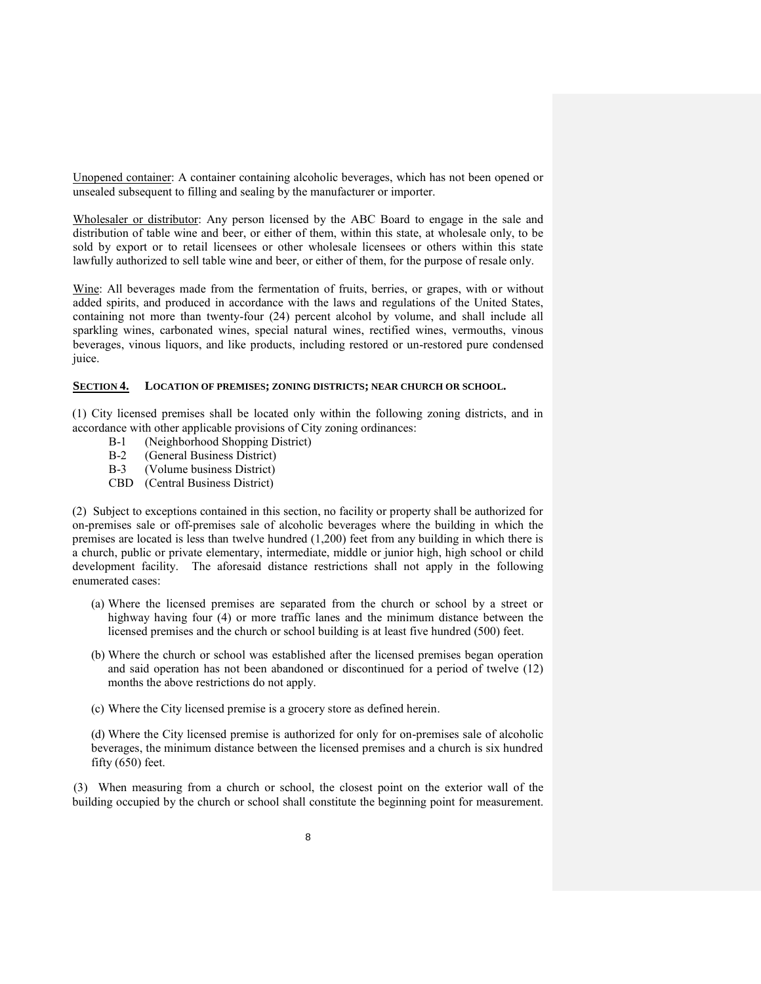Unopened container: A container containing alcoholic beverages, which has not been opened or unsealed subsequent to filling and sealing by the manufacturer or importer.

Wholesaler or distributor: Any person licensed by the ABC Board to engage in the sale and distribution of table wine and beer, or either of them, within this state, at wholesale only, to be sold by export or to retail licensees or other wholesale licensees or others within this state lawfully authorized to sell table wine and beer, or either of them, for the purpose of resale only.

Wine: All beverages made from the fermentation of fruits, berries, or grapes, with or without added spirits, and produced in accordance with the laws and regulations of the United States, containing not more than twenty-four (24) percent alcohol by volume, and shall include all sparkling wines, carbonated wines, special natural wines, rectified wines, vermouths, vinous beverages, vinous liquors, and like products, including restored or un-restored pure condensed juice.

#### **SECTION 4. LOCATION OF PREMISES; ZONING DISTRICTS; NEAR CHURCH OR SCHOOL.**

(1) City licensed premises shall be located only within the following zoning districts, and in accordance with other applicable provisions of City zoning ordinances:

- B-1 (Neighborhood Shopping District)
- B-2 (General Business District)
- B-3 (Volume business District)
- CBD (Central Business District)

(2) Subject to exceptions contained in this section, no facility or property shall be authorized for on-premises sale or off-premises sale of alcoholic beverages where the building in which the premises are located is less than twelve hundred (1,200) feet from any building in which there is a church, public or private elementary, intermediate, middle or junior high, high school or child development facility. The aforesaid distance restrictions shall not apply in the following enumerated cases:

- (a) Where the licensed premises are separated from the church or school by a street or highway having four (4) or more traffic lanes and the minimum distance between the licensed premises and the church or school building is at least five hundred (500) feet.
- (b) Where the church or school was established after the licensed premises began operation and said operation has not been abandoned or discontinued for a period of twelve (12) months the above restrictions do not apply.
- (c) Where the City licensed premise is a grocery store as defined herein.

(d) Where the City licensed premise is authorized for only for on-premises sale of alcoholic beverages, the minimum distance between the licensed premises and a church is six hundred fifty  $(650)$  feet.

(3) When measuring from a church or school, the closest point on the exterior wall of the building occupied by the church or school shall constitute the beginning point for measurement.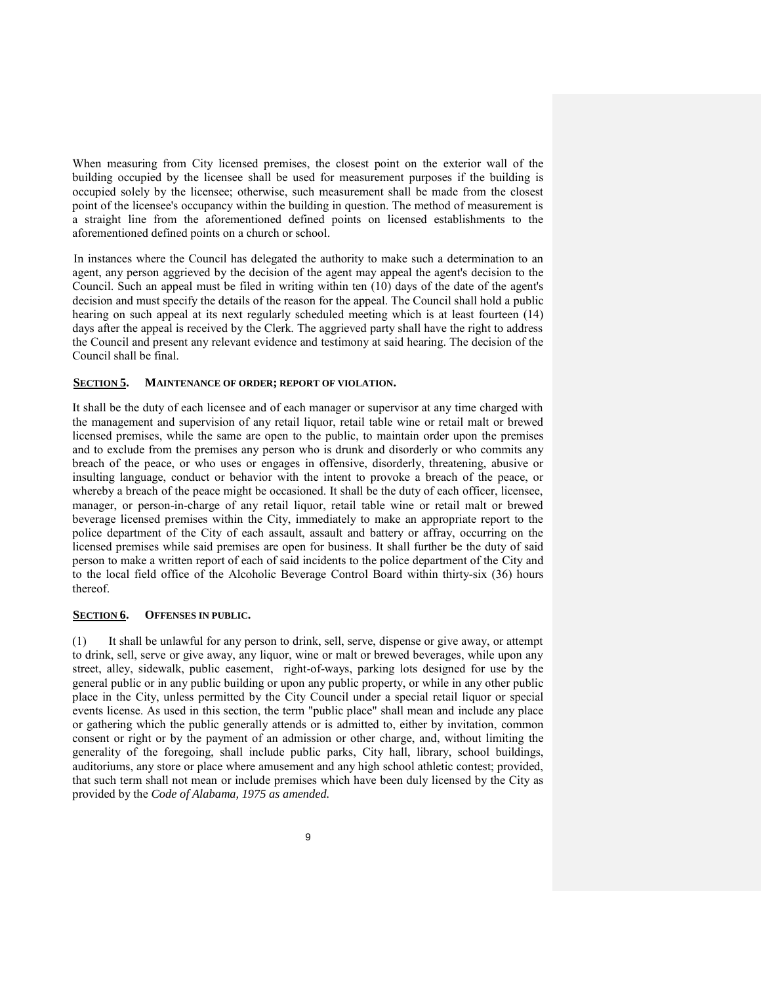When measuring from City licensed premises, the closest point on the exterior wall of the building occupied by the licensee shall be used for measurement purposes if the building is occupied solely by the licensee; otherwise, such measurement shall be made from the closest point of the licensee's occupancy within the building in question. The method of measurement is a straight line from the aforementioned defined points on licensed establishments to the aforementioned defined points on a church or school.

In instances where the Council has delegated the authority to make such a determination to an agent, any person aggrieved by the decision of the agent may appeal the agent's decision to the Council. Such an appeal must be filed in writing within ten (10) days of the date of the agent's decision and must specify the details of the reason for the appeal. The Council shall hold a public hearing on such appeal at its next regularly scheduled meeting which is at least fourteen (14) days after the appeal is received by the Clerk. The aggrieved party shall have the right to address the Council and present any relevant evidence and testimony at said hearing. The decision of the Council shall be final.

## **SECTION 5. MAINTENANCE OF ORDER; REPORT OF VIOLATION.**

It shall be the duty of each licensee and of each manager or supervisor at any time charged with the management and supervision of any retail liquor, retail table wine or retail malt or brewed licensed premises, while the same are open to the public, to maintain order upon the premises and to exclude from the premises any person who is drunk and disorderly or who commits any breach of the peace, or who uses or engages in offensive, disorderly, threatening, abusive or insulting language, conduct or behavior with the intent to provoke a breach of the peace, or whereby a breach of the peace might be occasioned. It shall be the duty of each officer, licensee, manager, or person-in-charge of any retail liquor, retail table wine or retail malt or brewed beverage licensed premises within the City, immediately to make an appropriate report to the police department of the City of each assault, assault and battery or affray, occurring on the licensed premises while said premises are open for business. It shall further be the duty of said person to make a written report of each of said incidents to the police department of the City and to the local field office of the Alcoholic Beverage Control Board within thirty-six (36) hours thereof.

# **SECTION 6. OFFENSES IN PUBLIC.**

(1) It shall be unlawful for any person to drink, sell, serve, dispense or give away, or attempt to drink, sell, serve or give away, any liquor, wine or malt or brewed beverages, while upon any street, alley, sidewalk, public easement, right-of-ways, parking lots designed for use by the general public or in any public building or upon any public property, or while in any other public place in the City, unless permitted by the City Council under a special retail liquor or special events license. As used in this section, the term "public place" shall mean and include any place or gathering which the public generally attends or is admitted to, either by invitation, common consent or right or by the payment of an admission or other charge, and, without limiting the generality of the foregoing, shall include public parks, City hall, library, school buildings, auditoriums, any store or place where amusement and any high school athletic contest; provided, that such term shall not mean or include premises which have been duly licensed by the City as provided by the *Code of Alabama, 1975 as amended.*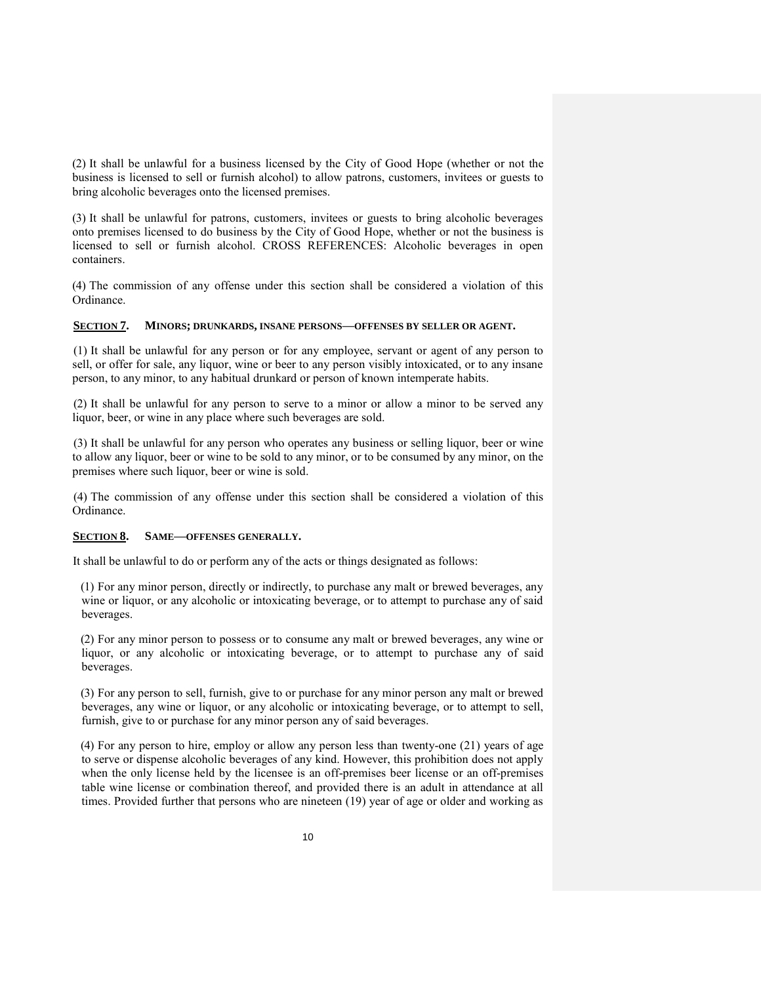(2) It shall be unlawful for a business licensed by the City of Good Hope (whether or not the business is licensed to sell or furnish alcohol) to allow patrons, customers, invitees or guests to bring alcoholic beverages onto the licensed premises.

(3) It shall be unlawful for patrons, customers, invitees or guests to bring alcoholic beverages onto premises licensed to do business by the City of Good Hope, whether or not the business is licensed to sell or furnish alcohol. CROSS REFERENCES: Alcoholic beverages in open containers.

(4) The commission of any offense under this section shall be considered a violation of this Ordinance.

## **SECTION 7. MINORS; DRUNKARDS, INSANE PERSONS—OFFENSES BY SELLER OR AGENT.**

(1) It shall be unlawful for any person or for any employee, servant or agent of any person to sell, or offer for sale, any liquor, wine or beer to any person visibly intoxicated, or to any insane person, to any minor, to any habitual drunkard or person of known intemperate habits.

(2) It shall be unlawful for any person to serve to a minor or allow a minor to be served any liquor, beer, or wine in any place where such beverages are sold.

(3) It shall be unlawful for any person who operates any business or selling liquor, beer or wine to allow any liquor, beer or wine to be sold to any minor, or to be consumed by any minor, on the premises where such liquor, beer or wine is sold.

(4) The commission of any offense under this section shall be considered a violation of this Ordinance.

## **SECTION 8. SAME—OFFENSES GENERALLY.**

It shall be unlawful to do or perform any of the acts or things designated as follows:

(1) For any minor person, directly or indirectly, to purchase any malt or brewed beverages, any wine or liquor, or any alcoholic or intoxicating beverage, or to attempt to purchase any of said beverages.

(2) For any minor person to possess or to consume any malt or brewed beverages, any wine or liquor, or any alcoholic or intoxicating beverage, or to attempt to purchase any of said beverages.

(3) For any person to sell, furnish, give to or purchase for any minor person any malt or brewed beverages, any wine or liquor, or any alcoholic or intoxicating beverage, or to attempt to sell, furnish, give to or purchase for any minor person any of said beverages.

(4) For any person to hire, employ or allow any person less than twenty-one (21) years of age to serve or dispense alcoholic beverages of any kind. However, this prohibition does not apply when the only license held by the licensee is an off-premises beer license or an off-premises table wine license or combination thereof, and provided there is an adult in attendance at all times. Provided further that persons who are nineteen (19) year of age or older and working as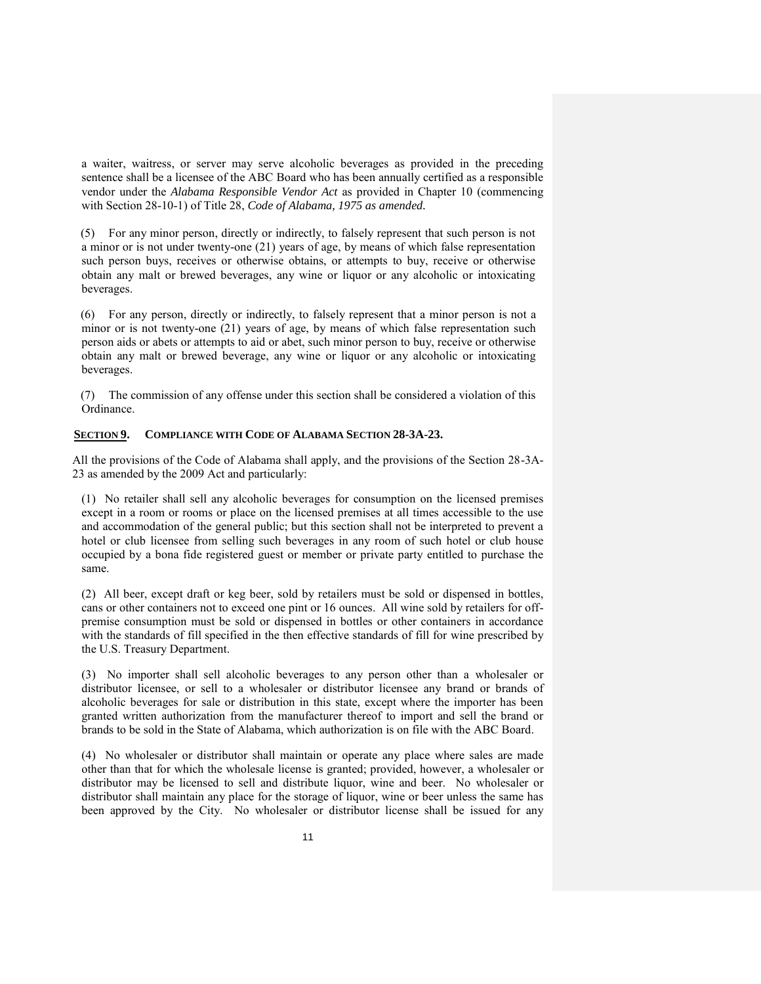a waiter, waitress, or server may serve alcoholic beverages as provided in the preceding sentence shall be a licensee of the ABC Board who has been annually certified as a responsible vendor under the *Alabama Responsible Vendor Act* as provided in Chapter 10 (commencing with Section 28-10-1) of Title 28, *Code of Alabama, 1975 as amended.*

(5) For any minor person, directly or indirectly, to falsely represent that such person is not a minor or is not under twenty-one (21) years of age, by means of which false representation such person buys, receives or otherwise obtains, or attempts to buy, receive or otherwise obtain any malt or brewed beverages, any wine or liquor or any alcoholic or intoxicating beverages.

(6) For any person, directly or indirectly, to falsely represent that a minor person is not a minor or is not twenty-one (21) years of age, by means of which false representation such person aids or abets or attempts to aid or abet, such minor person to buy, receive or otherwise obtain any malt or brewed beverage, any wine or liquor or any alcoholic or intoxicating beverages.

(7) The commission of any offense under this section shall be considered a violation of this Ordinance.

## **SECTION 9. COMPLIANCE WITH CODE OF ALABAMA SECTION 28-3A-23.**

All the provisions of the Code of Alabama shall apply, and the provisions of the Section 28-3A-23 as amended by the 2009 Act and particularly:

(1) No retailer shall sell any alcoholic beverages for consumption on the licensed premises except in a room or rooms or place on the licensed premises at all times accessible to the use and accommodation of the general public; but this section shall not be interpreted to prevent a hotel or club licensee from selling such beverages in any room of such hotel or club house occupied by a bona fide registered guest or member or private party entitled to purchase the same.

(2) All beer, except draft or keg beer, sold by retailers must be sold or dispensed in bottles, cans or other containers not to exceed one pint or 16 ounces. All wine sold by retailers for offpremise consumption must be sold or dispensed in bottles or other containers in accordance with the standards of fill specified in the then effective standards of fill for wine prescribed by the U.S. Treasury Department.

(3) No importer shall sell alcoholic beverages to any person other than a wholesaler or distributor licensee, or sell to a wholesaler or distributor licensee any brand or brands of alcoholic beverages for sale or distribution in this state, except where the importer has been granted written authorization from the manufacturer thereof to import and sell the brand or brands to be sold in the State of Alabama, which authorization is on file with the ABC Board.

(4) No wholesaler or distributor shall maintain or operate any place where sales are made other than that for which the wholesale license is granted; provided, however, a wholesaler or distributor may be licensed to sell and distribute liquor, wine and beer. No wholesaler or distributor shall maintain any place for the storage of liquor, wine or beer unless the same has been approved by the City. No wholesaler or distributor license shall be issued for any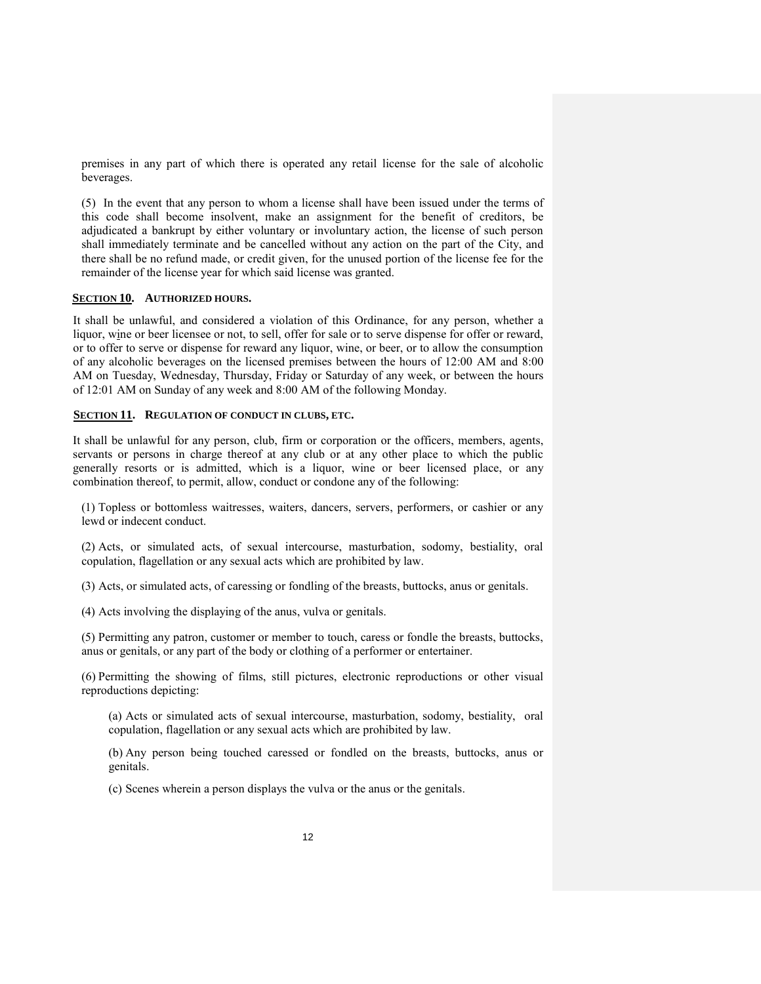premises in any part of which there is operated any retail license for the sale of alcoholic beverages.

(5) In the event that any person to whom a license shall have been issued under the terms of this code shall become insolvent, make an assignment for the benefit of creditors, be adjudicated a bankrupt by either voluntary or involuntary action, the license of such person shall immediately terminate and be cancelled without any action on the part of the City, and there shall be no refund made, or credit given, for the unused portion of the license fee for the remainder of the license year for which said license was granted.

## **SECTION 10. AUTHORIZED HOURS.**

It shall be unlawful, and considered a violation of this Ordinance, for any person, whether a liquor, wine or beer licensee or not, to sell, offer for sale or to serve dispense for offer or reward, or to offer to serve or dispense for reward any liquor, wine, or beer, or to allow the consumption of any alcoholic beverages on the licensed premises between the hours of 12:00 AM and 8:00 AM on Tuesday, Wednesday, Thursday, Friday or Saturday of any week, or between the hours of 12:01 AM on Sunday of any week and 8:00 AM of the following Monday.

## **SECTION 11. REGULATION OF CONDUCT IN CLUBS, ETC.**

It shall be unlawful for any person, club, firm or corporation or the officers, members, agents, servants or persons in charge thereof at any club or at any other place to which the public generally resorts or is admitted, which is a liquor, wine or beer licensed place, or any combination thereof, to permit, allow, conduct or condone any of the following:

(1) Topless or bottomless waitresses, waiters, dancers, servers, performers, or cashier or any lewd or indecent conduct.

(2) Acts, or simulated acts, of sexual intercourse, masturbation, sodomy, bestiality, oral copulation, flagellation or any sexual acts which are prohibited by law.

(3) Acts, or simulated acts, of caressing or fondling of the breasts, buttocks, anus or genitals.

(4) Acts involving the displaying of the anus, vulva or genitals.

(5) Permitting any patron, customer or member to touch, caress or fondle the breasts, buttocks, anus or genitals, or any part of the body or clothing of a performer or entertainer.

(6) Permitting the showing of films, still pictures, electronic reproductions or other visual reproductions depicting:

(a) Acts or simulated acts of sexual intercourse, masturbation, sodomy, bestiality, oral copulation, flagellation or any sexual acts which are prohibited by law.

(b) Any person being touched caressed or fondled on the breasts, buttocks, anus or genitals.

(c) Scenes wherein a person displays the vulva or the anus or the genitals.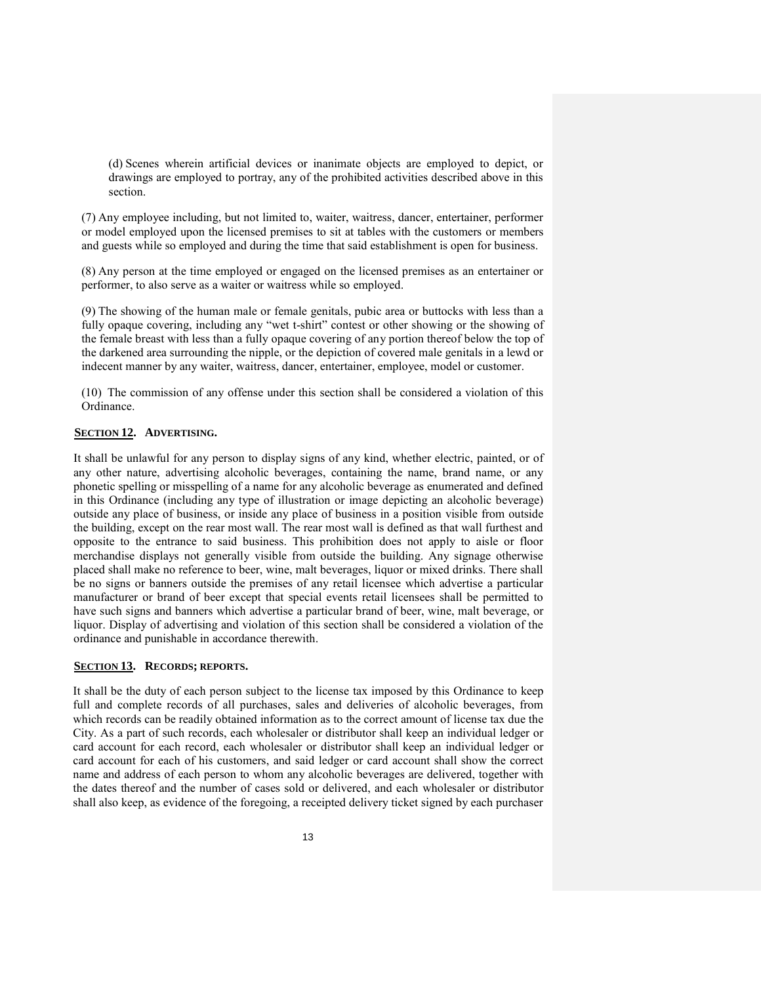(d) Scenes wherein artificial devices or inanimate objects are employed to depict, or drawings are employed to portray, any of the prohibited activities described above in this section.

(7) Any employee including, but not limited to, waiter, waitress, dancer, entertainer, performer or model employed upon the licensed premises to sit at tables with the customers or members and guests while so employed and during the time that said establishment is open for business.

(8) Any person at the time employed or engaged on the licensed premises as an entertainer or performer, to also serve as a waiter or waitress while so employed.

(9) The showing of the human male or female genitals, pubic area or buttocks with less than a fully opaque covering, including any "wet t-shirt" contest or other showing or the showing of the female breast with less than a fully opaque covering of any portion thereof below the top of the darkened area surrounding the nipple, or the depiction of covered male genitals in a lewd or indecent manner by any waiter, waitress, dancer, entertainer, employee, model or customer.

(10) The commission of any offense under this section shall be considered a violation of this Ordinance.

## **SECTION 12. ADVERTISING.**

It shall be unlawful for any person to display signs of any kind, whether electric, painted, or of any other nature, advertising alcoholic beverages, containing the name, brand name, or any phonetic spelling or misspelling of a name for any alcoholic beverage as enumerated and defined in this Ordinance (including any type of illustration or image depicting an alcoholic beverage) outside any place of business, or inside any place of business in a position visible from outside the building, except on the rear most wall. The rear most wall is defined as that wall furthest and opposite to the entrance to said business. This prohibition does not apply to aisle or floor merchandise displays not generally visible from outside the building. Any signage otherwise placed shall make no reference to beer, wine, malt beverages, liquor or mixed drinks. There shall be no signs or banners outside the premises of any retail licensee which advertise a particular manufacturer or brand of beer except that special events retail licensees shall be permitted to have such signs and banners which advertise a particular brand of beer, wine, malt beverage, or liquor. Display of advertising and violation of this section shall be considered a violation of the ordinance and punishable in accordance therewith.

# **SECTION 13. RECORDS; REPORTS.**

It shall be the duty of each person subject to the license tax imposed by this Ordinance to keep full and complete records of all purchases, sales and deliveries of alcoholic beverages, from which records can be readily obtained information as to the correct amount of license tax due the City. As a part of such records, each wholesaler or distributor shall keep an individual ledger or card account for each record, each wholesaler or distributor shall keep an individual ledger or card account for each of his customers, and said ledger or card account shall show the correct name and address of each person to whom any alcoholic beverages are delivered, together with the dates thereof and the number of cases sold or delivered, and each wholesaler or distributor shall also keep, as evidence of the foregoing, a receipted delivery ticket signed by each purchaser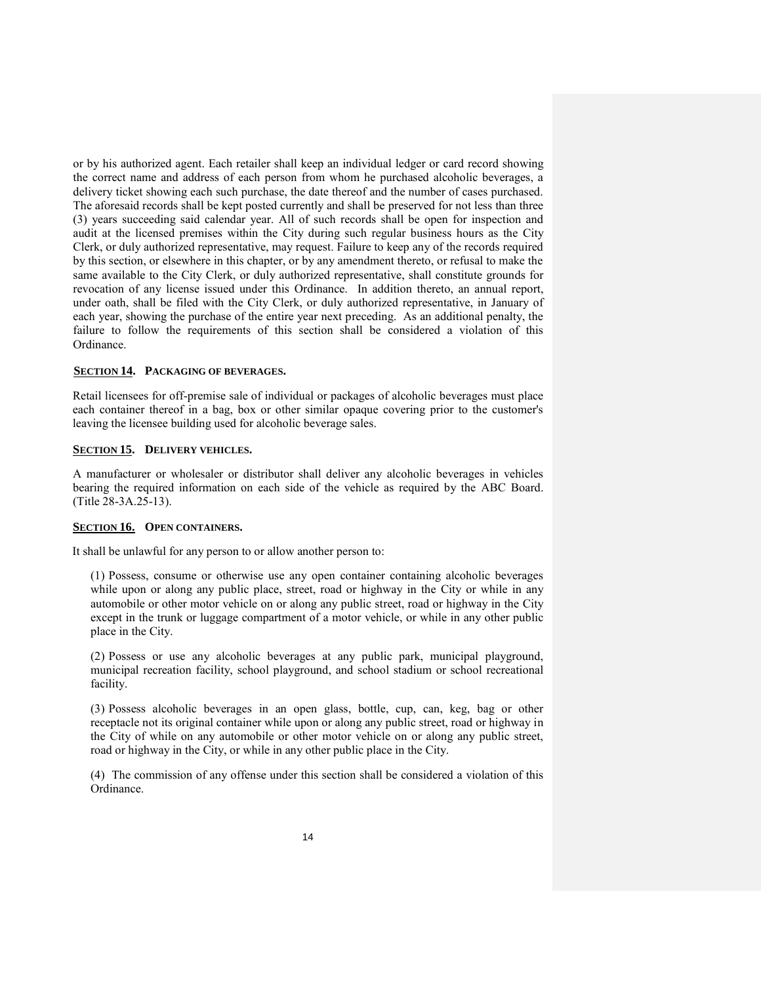or by his authorized agent. Each retailer shall keep an individual ledger or card record showing the correct name and address of each person from whom he purchased alcoholic beverages, a delivery ticket showing each such purchase, the date thereof and the number of cases purchased. The aforesaid records shall be kept posted currently and shall be preserved for not less than three (3) years succeeding said calendar year. All of such records shall be open for inspection and audit at the licensed premises within the City during such regular business hours as the City Clerk, or duly authorized representative, may request. Failure to keep any of the records required by this section, or elsewhere in this chapter, or by any amendment thereto, or refusal to make the same available to the City Clerk, or duly authorized representative, shall constitute grounds for revocation of any license issued under this Ordinance. In addition thereto, an annual report, under oath, shall be filed with the City Clerk, or duly authorized representative, in January of each year, showing the purchase of the entire year next preceding. As an additional penalty, the failure to follow the requirements of this section shall be considered a violation of this Ordinance.

## **SECTION 14. PACKAGING OF BEVERAGES.**

Retail licensees for off-premise sale of individual or packages of alcoholic beverages must place each container thereof in a bag, box or other similar opaque covering prior to the customer's leaving the licensee building used for alcoholic beverage sales.

# **SECTION 15. DELIVERY VEHICLES.**

A manufacturer or wholesaler or distributor shall deliver any alcoholic beverages in vehicles bearing the required information on each side of the vehicle as required by the ABC Board. (Title 28-3A.25-13).

#### **SECTION 16. OPEN CONTAINERS.**

It shall be unlawful for any person to or allow another person to:

(1) Possess, consume or otherwise use any open container containing alcoholic beverages while upon or along any public place, street, road or highway in the City or while in any automobile or other motor vehicle on or along any public street, road or highway in the City except in the trunk or luggage compartment of a motor vehicle, or while in any other public place in the City.

(2) Possess or use any alcoholic beverages at any public park, municipal playground, municipal recreation facility, school playground, and school stadium or school recreational facility.

(3) Possess alcoholic beverages in an open glass, bottle, cup, can, keg, bag or other receptacle not its original container while upon or along any public street, road or highway in the City of while on any automobile or other motor vehicle on or along any public street, road or highway in the City, or while in any other public place in the City.

(4) The commission of any offense under this section shall be considered a violation of this Ordinance.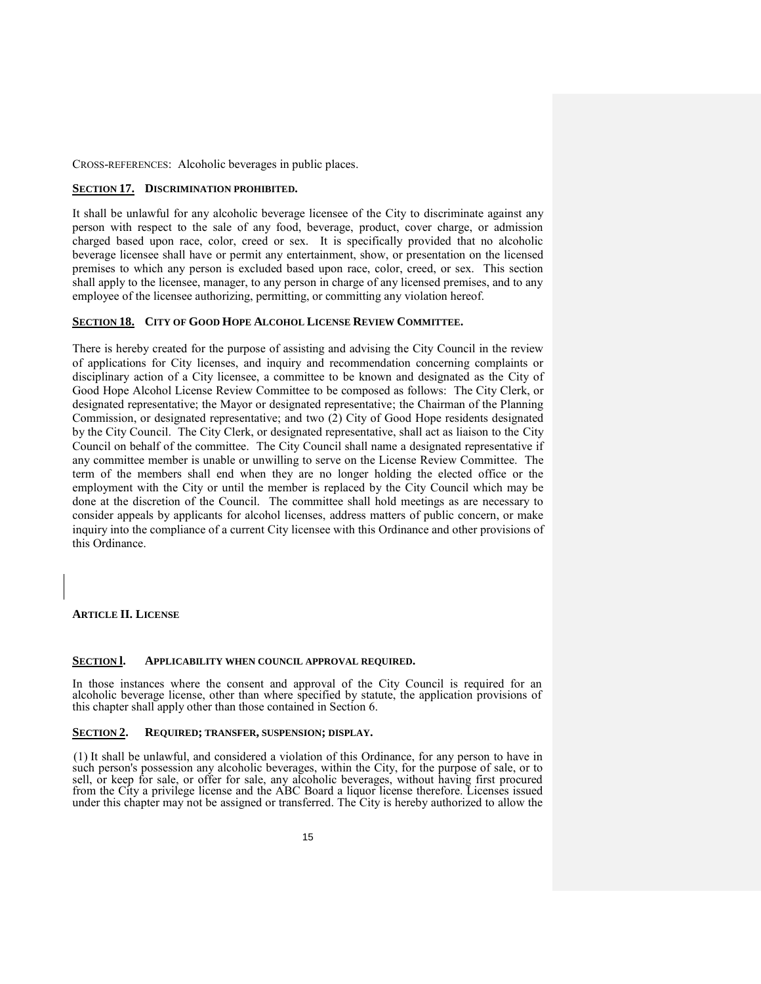CROSS-REFERENCES: Alcoholic beverages in public places.

## **SECTION 17. DISCRIMINATION PROHIBITED.**

It shall be unlawful for any alcoholic beverage licensee of the City to discriminate against any person with respect to the sale of any food, beverage, product, cover charge, or admission charged based upon race, color, creed or sex. It is specifically provided that no alcoholic beverage licensee shall have or permit any entertainment, show, or presentation on the licensed premises to which any person is excluded based upon race, color, creed, or sex. This section shall apply to the licensee, manager, to any person in charge of any licensed premises, and to any employee of the licensee authorizing, permitting, or committing any violation hereof.

## **SECTION 18. CITY OF GOOD HOPE ALCOHOL LICENSE REVIEW COMMITTEE.**

There is hereby created for the purpose of assisting and advising the City Council in the review of applications for City licenses, and inquiry and recommendation concerning complaints or disciplinary action of a City licensee, a committee to be known and designated as the City of Good Hope Alcohol License Review Committee to be composed as follows: The City Clerk, or designated representative; the Mayor or designated representative; the Chairman of the Planning Commission, or designated representative; and two (2) City of Good Hope residents designated by the City Council. The City Clerk, or designated representative, shall act as liaison to the City Council on behalf of the committee. The City Council shall name a designated representative if any committee member is unable or unwilling to serve on the License Review Committee. The term of the members shall end when they are no longer holding the elected office or the employment with the City or until the member is replaced by the City Council which may be done at the discretion of the Council.The committee shall hold meetings as are necessary to consider appeals by applicants for alcohol licenses, address matters of public concern, or make inquiry into the compliance of a current City licensee with this Ordinance and other provisions of this Ordinance.

## **ARTICLE II. LICENSE**

### **SECTION l. APPLICABILITY WHEN COUNCIL APPROVAL REQUIRED.**

In those instances where the consent and approval of the City Council is required for an alcoholic beverage license, other than where specified by statute, the application provisions of this chapter shall apply other than those contained in Section 6.

## **SECTION 2. REQUIRED; TRANSFER, SUSPENSION; DISPLAY.**

(1) It shall be unlawful, and considered a violation of this Ordinance, for any person to have in such person's possession any alcoholic beverages, within the City, for the purpose of sale, or to sell, or keep for sale, or offer for sale, any alcoholic beverages, without having first procured from the City a privilege license and the ABC Board a liquor license therefore. Licenses issued under this chapter may not be assigned or transferred. The City is hereby authorized to allow the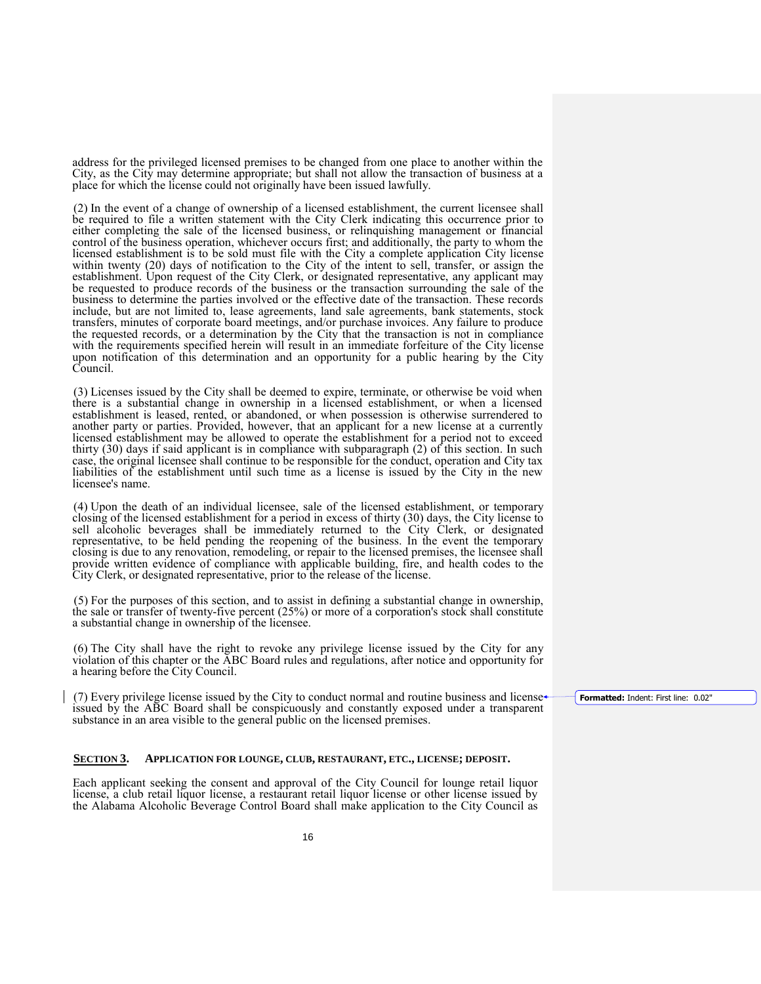address for the privileged licensed premises to be changed from one place to another within the City, as the City may determine appropriate; but shall not allow the transaction of business at a place for which the license could not originally have been issued lawfully.

(2) In the event of a change of ownership of a licensed establishment, the current licensee shall be required to file a written statement with the City Clerk indicating this occurrence prior to either completing the sale of the licensed business, or relinquishing management or financial control of the business operation, whichever occurs first; and additionally, the party to whom the licensed establishment is to be sold must file with the City a complete application City license within twenty (20) days of notification to the City of the intent to sell, transfer, or assign the establishment. Upon request of the City Clerk, or designated representative, any applicant may be requested to produce records of the business or the transaction surrounding the sale of the business to determine the parties involved or the effective date of the transaction. These records include, but are not limited to, lease agreements, land sale agreements, bank statements, stock transfers, minutes of corporate board meetings, and/or purchase invoices. Any failure to produce the requested records, or a determination by the City that the transaction is not in compliance with the requirements specified herein will result in an immediate forfeiture of the City license upon notification of this determination and an opportunity for a public hearing by the City Council.

(3) Licenses issued by the City shall be deemed to expire, terminate, or otherwise be void when there is a substantial change in ownership in a licensed establishment, or when a licensed establishment is leased, rented, or abandoned, or when possession is otherwise surrendered to another party or parties. Provided, however, that an applicant for a new license at a currently licensed establishment may be allowed to operate the establishment for a period not to exceed thirty (30) days if said applicant is in compliance with subparagraph (2) of this section. In such case, the original licensee shall continue to be responsible for the conduct, operation and City tax liabilities of the establishment until such time as a license is issued by the City in the new licensee's name.

(4) Upon the death of an individual licensee, sale of the licensed establishment, or temporary closing of the licensed establishment for a period in excess of thirty (30) days, the City license to sell alcoholic beverages shall be immediately returned to the City Clerk, or designated representative, to be held pending the reopening of the business. In the event the temporary closing is due to any renovation, remodeling, or repair to the licensed premises, the licensee shall provide written evidence of compliance with applicable building, fire, and health codes to the City Clerk, or designated representative, prior to the release of the license.

(5) For the purposes of this section, and to assist in defining a substantial change in ownership, the sale or transfer of twenty-five percent (25%) or more of a corporation's stock shall constitute a substantial change in ownership of the licensee.

(6) The City shall have the right to revoke any privilege license issued by the City for any violation of this chapter or the ABC Board rules and regulations, after notice and opportunity for a hearing before the City Council.

(7) Every privilege license issued by the City to conduct normal and routine business and license issued by the ABC Board shall be conspicuously and constantly exposed under a transparent substance in an area visible to the general public on the licensed premises.

### **SECTION 3. APPLICATION FOR LOUNGE, CLUB, RESTAURANT, ETC., LICENSE; DEPOSIT.**

Each applicant seeking the consent and approval of the City Council for lounge retail liquor license, a club retail liquor license, a restaurant retail liquor license or other license issued by the Alabama Alcoholic Beverage Control Board shall make application to the City Council as **Formatted:** Indent: First line: 0.02"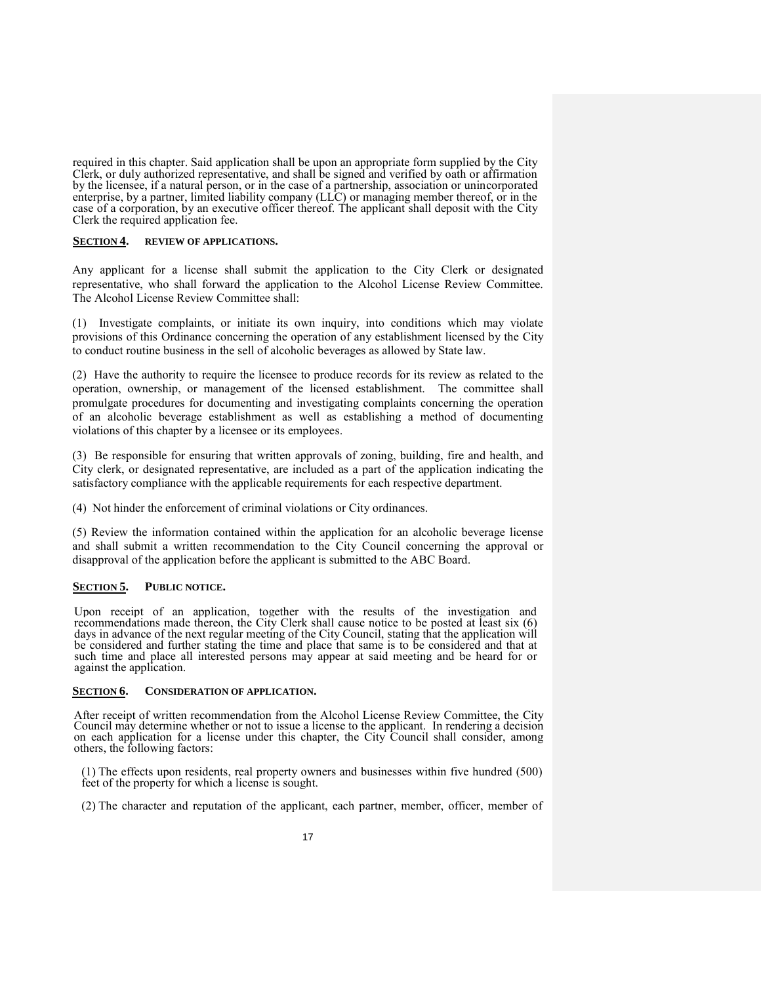required in this chapter. Said application shall be upon an appropriate form supplied by the City Clerk, or duly authorized representative, and shall be signed and verified by oath or affirmation by the licensee, if a natural person, or in the case of a partnership, association or unincorporated enterprise, by a partner, limited liability company (LLC) or managing member thereof, or in the case of a corporation, by an executive officer thereof. The applicant shall deposit with the City Clerk the required application fee.

## **SECTION 4. REVIEW OF APPLICATIONS.**

Any applicant for a license shall submit the application to the City Clerk or designated representative, who shall forward the application to the Alcohol License Review Committee. The Alcohol License Review Committee shall:

(1) Investigate complaints, or initiate its own inquiry, into conditions which may violate provisions of this Ordinance concerning the operation of any establishment licensed by the City to conduct routine business in the sell of alcoholic beverages as allowed by State law.

(2) Have the authority to require the licensee to produce records for its review as related to the operation, ownership, or management of the licensed establishment. The committee shall promulgate procedures for documenting and investigating complaints concerning the operation of an alcoholic beverage establishment as well as establishing a method of documenting violations of this chapter by a licensee or its employees.

(3) Be responsible for ensuring that written approvals of zoning, building, fire and health, and City clerk, or designated representative, are included as a part of the application indicating the satisfactory compliance with the applicable requirements for each respective department.

(4) Not hinder the enforcement of criminal violations or City ordinances.

(5) Review the information contained within the application for an alcoholic beverage license and shall submit a written recommendation to the City Council concerning the approval or disapproval of the application before the applicant is submitted to the ABC Board.

## **SECTION 5. PUBLIC NOTICE.**

Upon receipt of an application, together with the results of the investigation and recommendations made thereon, the City Clerk shall cause notice to be posted at least six (6) days in advance of the next regular meeting of the City Council, stating that the application will be considered and further stating the time and place that same is to be considered and that at such time and place all interested persons may appear at said meeting and be heard for or against the application.

#### **SECTION 6. CONSIDERATION OF APPLICATION.**

After receipt of written recommendation from the Alcohol License Review Committee, the City Council may determine whether or not to issue a license to the applicant. In rendering a decision on each application for a license under this chapter, the City Council shall consider, among others, the following factors:

(1) The effects upon residents, real property owners and businesses within five hundred (500) feet of the property for which a license is sought.

(2) The character and reputation of the applicant, each partner, member, officer, member of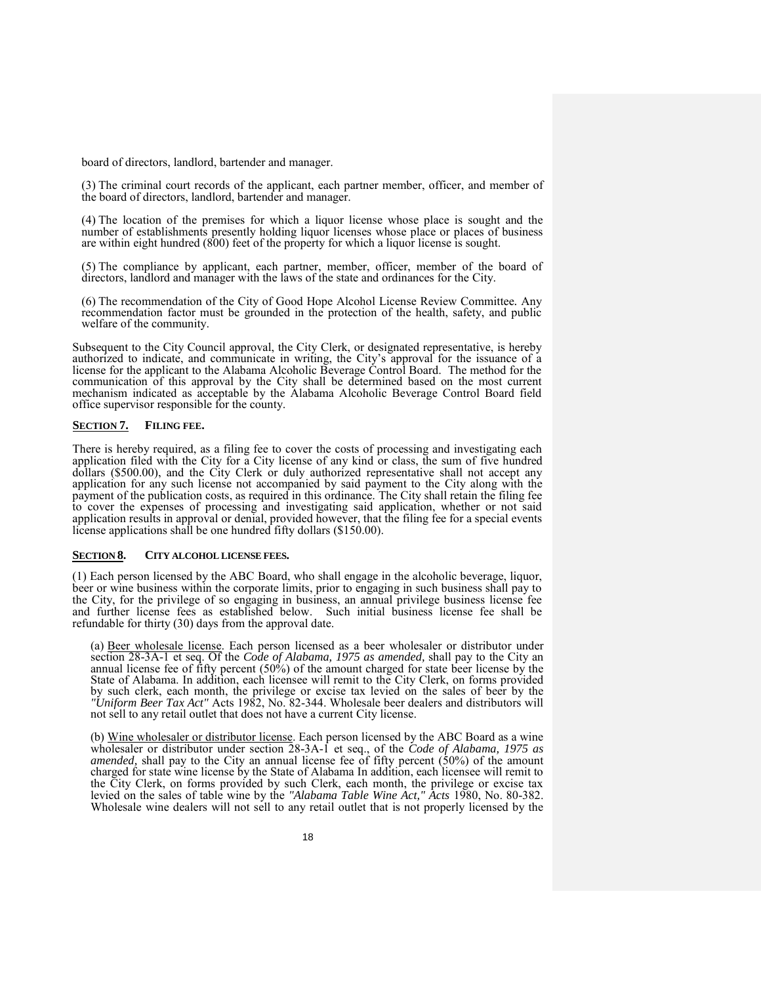board of directors, landlord, bartender and manager.

(3) The criminal court records of the applicant, each partner member, officer, and member of the board of directors, landlord, bartender and manager.

(4) The location of the premises for which a liquor license whose place is sought and the number of establishments presently holding liquor licenses whose place or places of business are within eight hundred (800) feet of the property for which a liquor license is sought.

(5) The compliance by applicant, each partner, member, officer, member of the board of directors, landlord and manager with the laws of the state and ordinances for the City.

(6) The recommendation of the City of Good Hope Alcohol License Review Committee*.* Any recommendation factor must be grounded in the protection of the health, safety, and public welfare of the community.

Subsequent to the City Council approval, the City Clerk, or designated representative, is hereby authorized to indicate, and communicate in writing, the City's approval for the issuance of a license for the applicant to the Alabama Alcoholic Beverage Control Board. The method for the communication of this approval by the City shall be determined based on the most current mechanism indicated as acceptable by the Alabama Alcoholic Beverage Control Board field office supervisor responsible for the county.

#### **SECTION 7. FILING FEE.**

There is hereby required, as a filing fee to cover the costs of processing and investigating each application filed with the City for a City license of any kind or class, the sum of five hundred dollars (\$500.00), and the City Clerk or duly authorized representative shall not accept any application for any such license not accompanied by said payment to the City along with the payment of the publication costs, as required in this ordinance. The City shall retain the filing fee to cover the expenses of processing and investigating said application, whether or not said application results in approval or denial, provided however, that the filing fee for a special events license applications shall be one hundred fifty dollars (\$150.00).

### **SECTION 8. CITY ALCOHOL LICENSE FEES.**

(1) Each person licensed by the ABC Board, who shall engage in the alcoholic beverage, liquor, beer or wine business within the corporate limits, prior to engaging in such business shall pay to the City, for the privilege of so engaging in business, an annual privilege business license fee and further license fees as established below. Such initial business license fee shall be refundable for thirty (30) days from the approval date.

(a) Beer wholesale license. Each person licensed as a beer wholesaler or distributor under section 28-3A-1 et seq. Of the *Code of Alabama, 1975 as amended,* shall pay to the City an annual license fee of fifty percent (50%) of the amount charged for state beer license by the State of Alabama. In addition, each licensee will remit to the City Clerk, on forms provided by such clerk, each month, the privilege or excise tax levied on the sales of beer by the *"Uniform Beer Tax Act"* Acts 1982, No. 82-344. Wholesale beer dealers and distributors will not sell to any retail outlet that does not have a current City license.

(b) Wine wholesaler or distributor license. Each person licensed by the ABC Board as a wine wholesaler or distributor under section 28-3A-1 et seq., of the *Code of Alabama, 1975 as amended,* shall pay to the City an annual license fee of fifty percent (50%) of the amount charged for state wine license by the State of Alabama In addition, each licensee will remit to the City Clerk, on forms provided by such Clerk, each month, the privilege or excise tax levied on the sales of table wine by the *"Alabama Table Wine Act," Acts* 1980, No. 80-382. Wholesale wine dealers will not sell to any retail outlet that is not properly licensed by the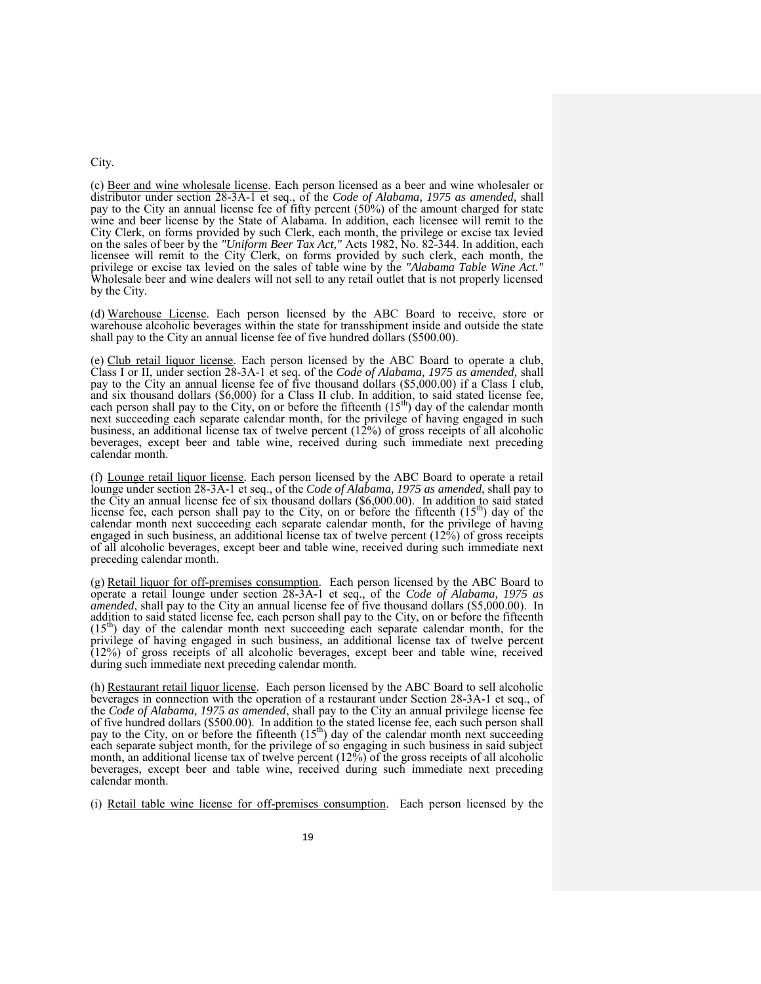#### City.

(c) Beer and wine wholesale license. Each person licensed as a beer and wine wholesaler or distributor under section 28-3A-1 et seq., of the *Code of Alabama, 1975 as amended,* shall pay to the City an annual license fee of fifty percent (50%) of the amount charged for state wine and beer license by the State of Alabama. In addition, each licensee will remit to the City Clerk, on forms provided by such Clerk, each month, the privilege or excise tax levied on the sales of beer by the *"Uniform Beer Tax Act,"* Acts 1982, No. 82-344. In addition, each licensee will remit to the City Clerk, on forms provided by such clerk, each month, the privilege or excise tax levied on the sales of table wine by the *"Alabama Table Wine Act."*  Wholesale beer and wine dealers will not sell to any retail outlet that is not properly licensed by the City.

(d) Warehouse License. Each person licensed by the ABC Board to receive, store or warehouse alcoholic beverages within the state for transshipment inside and outside the state shall pay to the City an annual license fee of five hundred dollars (\$500.00).

(e) Club retail liquor license. Each person licensed by the ABC Board to operate a club, Class I or II, under section 28-3A-1 et seq. of the *Code of Alabama, 1975 as amended,* shall pay to the City an annual license fee of five thousand dollars (\$5,000.00) if a Class I club, and six thousand dollars (\$6,000) for a Class II club. In addition, to said stated license fee, each person shall pay to the City, on or before the fifteenth  $(15<sup>th</sup>)$  day of the calendar month next succeeding each separate calendar month, for the privilege of having engaged in such business, an additional license tax of twelve percent (12%) of gross receipts of all alcoholic beverages, except beer and table wine, received during such immediate next preceding calendar month.

(f) Lounge retail liquor license. Each person licensed by the ABC Board to operate a retail lounge under section 28-3A-1 et seq., of the *Code of Alabama, 1975 as amended*, shall pay to the City an annual license fee of six thousand dollars (\$6,000.00). In addition to said stated license fee, each person shall pay to the City, on or before the fifteenth  $(15<sup>th</sup>)$  day of the calendar month next succeeding each separate calendar month, for the privilege of having engaged in such business, an additional license tax of twelve percent (12%) of gross receipts of all alcoholic beverages, except beer and table wine, received during such immediate next preceding calendar month.

(g) Retail liquor for off-premises consumption. Each person licensed by the ABC Board to operate a retail lounge under section 28-3A-1 et seq., of the *Code of Alabama, 1975 as amended*, shall pay to the City an annual license fee of five thousand dollars (\$5,000.00). In addition to said stated license fee, each person shall pay to the City, on or before the fifteenth  $(15<sup>th</sup>)$  day of the calendar month next succeeding each separate calendar month, for the  $(n)$  day of the calendar month next succeeding each separate calendar month, for the privilege of having engaged in such business, an additional license tax of twelve percent (12%) of gross receipts of all alcoholic beverages, except beer and table wine, received during such immediate next preceding calendar month.

(h) Restaurant retail liquor license. Each person licensed by the ABC Board to sell alcoholic beverages in connection with the operation of a restaurant under Section 28-3A-1 et seq., of the *Code of Alabama, 1975 as amended*, shall pay to the City an annual privilege license fee of five hundred dollars (\$500.00). In addition to the stated license fee, each such person shall pay to the City, on or before the fifteenth  $(15<sup>th</sup>)$  day of the calendar month next succeeding each separate subject month, for the privilege of so engaging in such business in said subject month, an additional license tax of twelve percent  $(12\%)$  of the gross receipts of all alcoholic beverages, except beer and table wine, received during such immediate next preceding calendar month.

(i) Retail table wine license for off-premises consumption. Each person licensed by the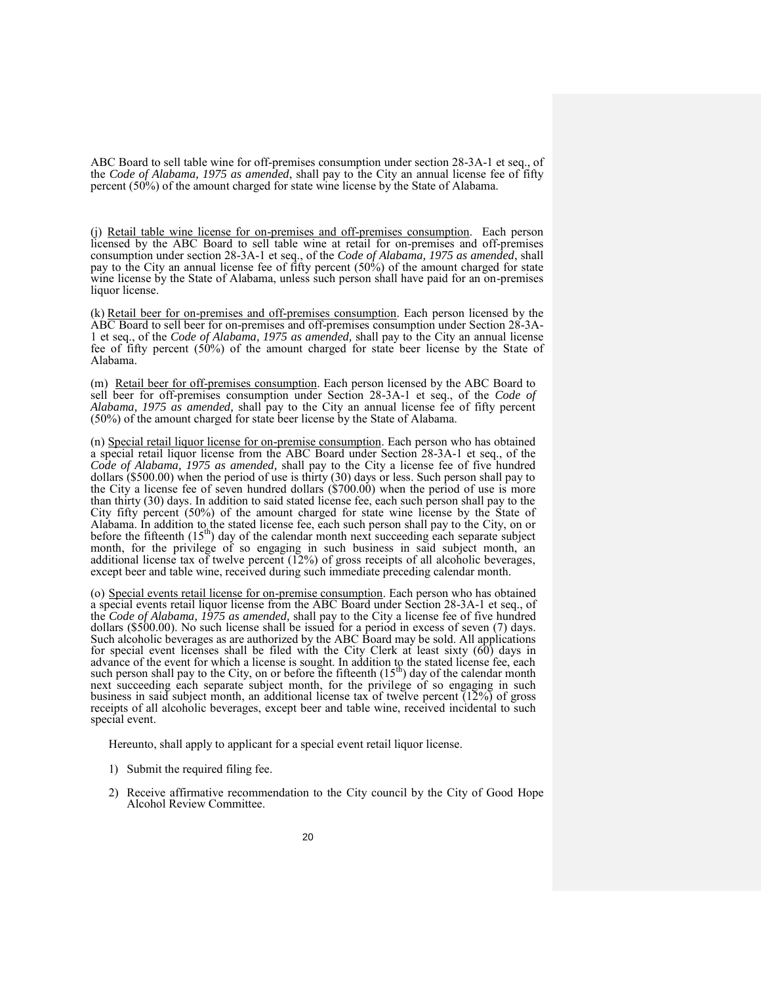ABC Board to sell table wine for off-premises consumption under section 28-3A-1 et seq., of the *Code of Alabama, 1975 as amended*, shall pay to the City an annual license fee of fifty percent (50%) of the amount charged for state wine license by the State of Alabama.

(j) Retail table wine license for on-premises and off-premises consumption. Each person licensed by the ABC Board to sell table wine at retail for on-premises and off-premises consumption under section 28-3A-1 et seq., of the *Code of Alabama, 1975 as amended*, shall pay to the City an annual license fee of fifty percent  $(50\%)$  of the amount charged for state wine license by the State of Alabama, unless such person shall have paid for an on-premises liquor license.

(k) Retail beer for on-premises and off-premises consumption. Each person licensed by the ABC Board to sell beer for on-premises and off-premises consumption under Section 28-3A-1 et seq., of the *Code of Alabama, 1975 as amended,* shall pay to the City an annual license fee of fifty percent (50%) of the amount charged for state beer license by the State of Alabama.

(m) Retail beer for off-premises consumption. Each person licensed by the ABC Board to sell beer for off-premises consumption under Section 28-3A-1 et seq., of the *Code of Alabama, 1975 as amended,* shall pay to the City an annual license fee of fifty percent (50%) of the amount charged for state beer license by the State of Alabama.

(n) Special retail liquor license for on-premise consumption. Each person who has obtained a special retail liquor license from the ABC Board under Section 28-3A-1 et seq., of the *Code of Alabama, 1975 as amended,* shall pay to the City a license fee of five hundred dollars (\$500.00) when the period of use is thirty (30) days or less. Such person shall pay to the City a license fee of seven hundred dollars (\$700.00) when the period of use is more than thirty (30) days. In addition to said stated license fee, each such person shall pay to the City fifty percent (50%) of the amount charged for state wine license by the State of Alabama. In addition to the stated license fee, each such person shall pay to the City, on or before the fifteenth  $(15<sup>th</sup>)$  day of the calendar month next succeeding each separate subject month, for the privilege of so engaging in such business in said subject month, an additional license tax of twelve percent (12%) of gross receipts of all alcoholic beverages, except beer and table wine, received during such immediate preceding calendar month.

(o) Special events retail license for on-premise consumption. Each person who has obtained a special events retail liquor license from the ABC Board under Section 28-3A-1 et seq., of the *Code of Alabama, 1975 as amended,* shall pay to the City a license fee of five hundred dollars (\$500.00). No such license shall be issued for a period in excess of seven (7) days. Such alcoholic beverages as are authorized by the ABC Board may be sold. All applications for special event licenses shall be filed with the City Clerk at least sixty (60) days in advance of the event for which a license is sought. In addition to the stated license fee, each such person shall pay to the City, on or before the fifteenth  $(15<sup>th</sup>)$  day of the calendar month next succeeding each separate subject month, for the privilege of so engaging in such business in said subject month, an additional license tax of twelve percent  $(12\%)$  of gross receipts of all alcoholic beverages, except beer and table wine, received incidental to such special event.

Hereunto, shall apply to applicant for a special event retail liquor license.

- 1) Submit the required filing fee.
- 2) Receive affirmative recommendation to the City council by the City of Good Hope Alcohol Review Committee.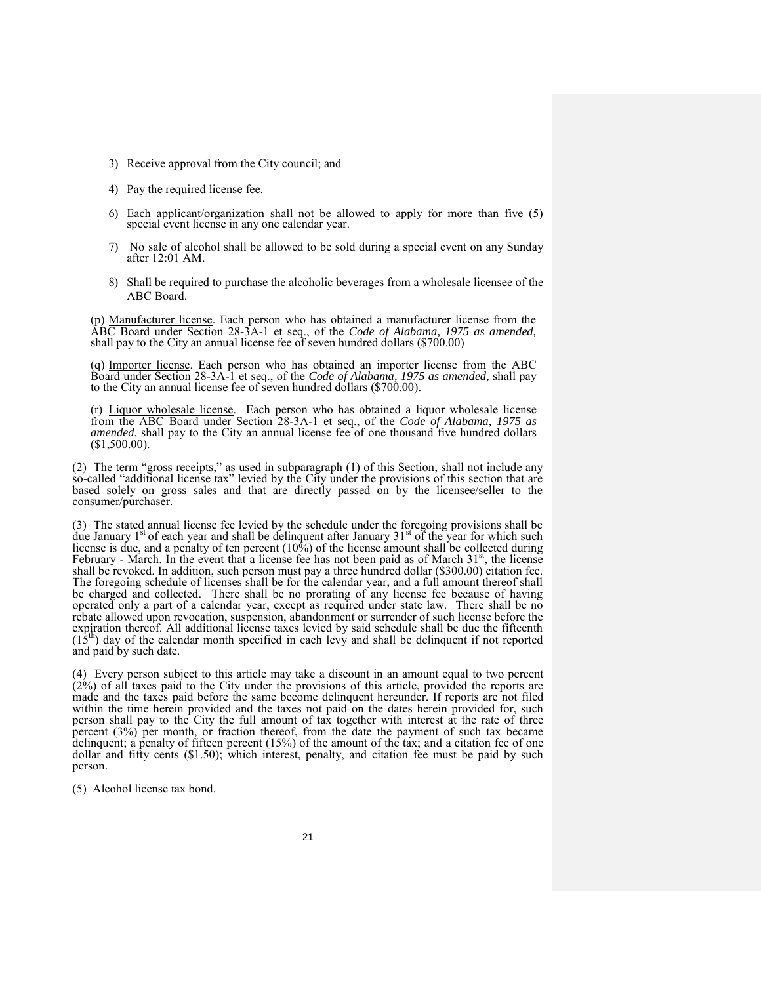- 3) Receive approval from the City council; and
- 4) Pay the required license fee.
- 6) Each applicant/organization shall not be allowed to apply for more than five (5) special event license in any one calendar year.
- 7) No sale of alcohol shall be allowed to be sold during a special event on any Sunday after 12:01 AM.
- 8) Shall be required to purchase the alcoholic beverages from a wholesale licensee of the ABC Board.

(p) Manufacturer license. Each person who has obtained a manufacturer license from the ABC Board under Section 28-3A-1 et seq., of the *Code of Alabama, 1975 as amended,*  shall pay to the City an annual license fee of seven hundred dollars (\$700.00)

(q) Importer license. Each person who has obtained an importer license from the ABC Board under Section 28-3A-1 et seq., of the *Code of Alabama, 1975 as amended,* shall pay to the City an annual license fee of seven hundred dollars (\$700.00).

(r) Liquor wholesale license. Each person who has obtained a liquor wholesale license from the ABC Board under Section 28-3A-1 et seq., of the *Code of Alabama, 1975 as amended*, shall pay to the City an annual license fee of one thousand five hundred dollars (\$1,500.00).

(2) The term "gross receipts," as used in subparagraph (1) of this Section, shall not include any so-called "additional license tax" levied by the City under the provisions of this section that are based solely on gross sales and that are directly passed on by the licensee/seller to the consumer/purchaser.

(3) The stated annual license fee levied by the schedule under the foregoing provisions shall be due January  $1<sup>st</sup>$  of each year and shall be delinquent after January  $31<sup>st</sup>$  of the year for which such license is due, and a penalty of ten percent (10%) of the license amount shall be collected during February - March. In the event that a license fee has not been paid as of March  $31<sup>st</sup>$ , the license shall be revoked. In addition, such person must pay a three hundred dollar (\$300.00) citation fee. The foregoing schedule of licenses shall be for the calendar year, and a full amount thereof shall be charged and collected. There shall be no prorating of any license fee because of having operated only a part of a calendar year, except as required under state law. There shall be no rebate allowed upon revocation, suspension, abandonment or surrender of such license before the expiration thereof. All additional license taxes levied by said schedule shall be due the fifteenth  $(15<sup>th</sup>)$  day of the calendar month specified in each levy and shall be delinquent if not reported and paid by such date.

(4) Every person subject to this article may take a discount in an amount equal to two percent  $(2\%)$  of all taxes paid to the City under the provisions of this article, provided the reports are made and the taxes paid before the same become delinquent hereunder. If reports are not filed within the time herein provided and the taxes not paid on the dates herein provided for, such person shall pay to the City the full amount of tax together with interest at the rate of three percent (3%) per month, or fraction thereof, from the date the payment of such tax became delinquent; a penalty of fifteen percent (15%) of the amount of the tax; and a citation fee of one dollar and fifty cents (\$1.50); which interest, penalty, and citation fee must be paid by such person.

(5) Alcohol license tax bond.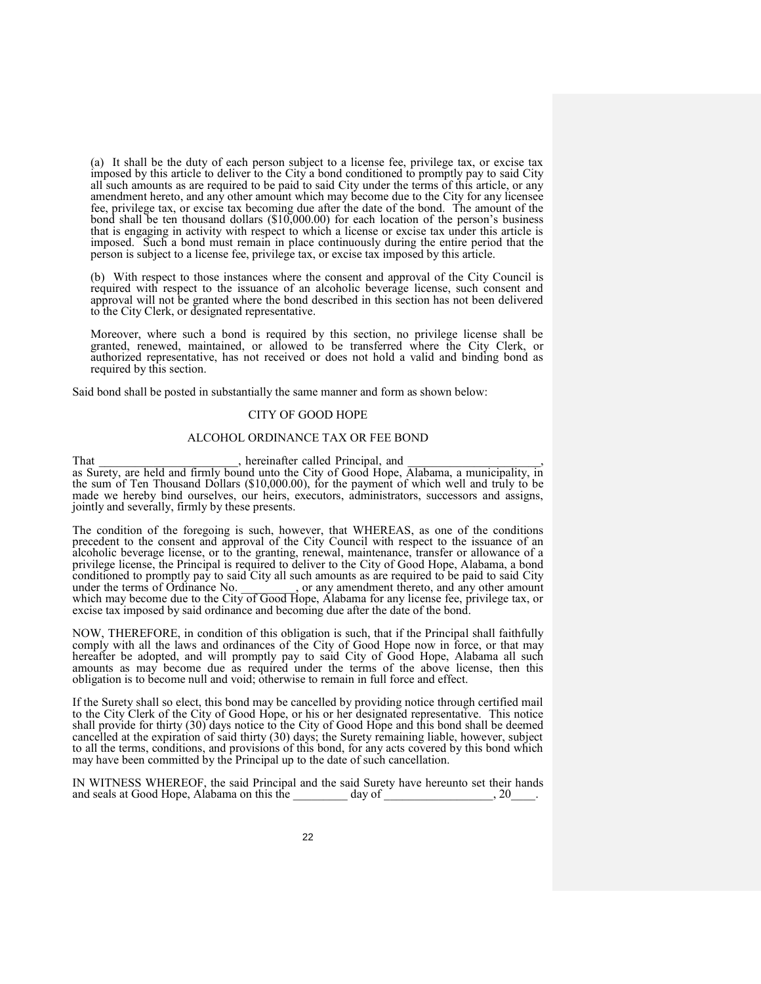(a) It shall be the duty of each person subject to a license fee, privilege tax, or excise tax imposed by this article to deliver to the City a bond conditioned to promptly pay to said City all such amounts as are required to be paid to said City under the terms of this article, or any amendment hereto, and any other amount which may become due to the City for any licensee fee, privilege tax, or excise tax becoming due after the date of the bond. The amount of the bond shall be ten thousand dollars (\$10,000.00) for each location of the person's business that is engaging in activity with respect to which a license or excise tax under this article is imposed. Such a bond must remain in place continuously during the entire period that the person is subject to a license fee, privilege tax, or excise tax imposed by this article.

(b) With respect to those instances where the consent and approval of the City Council is required with respect to the issuance of an alcoholic beverage license, such consent and approval will not be granted where the bond described in this section has not been delivered to the City Clerk, or designated representative.

Moreover, where such a bond is required by this section, no privilege license shall be granted, renewed, maintained, or allowed to be transferred where the City Clerk, or authorized representative, has not received or does not hold a valid and binding bond as required by this section.

Said bond shall be posted in substantially the same manner and form as shown below:

## CITY OF GOOD HOPE

### ALCOHOL ORDINANCE TAX OR FEE BOND

#### That That the state of the ended Principal, and  $\lambda$  hereinafter called Principal, and  $\lambda$

as Surety, are held and firmly bound unto the City of Good Hope, Alabama, a municipality, in the sum of Ten Thousand Dollars (\$10,000.00), for the payment of which well and truly to be made we hereby bind ourselves, our heirs, executors, administrators, successors and assigns, jointly and severally, firmly by these presents.

The condition of the foregoing is such, however, that WHEREAS, as one of the conditions precedent to the consent and approval of the City Council with respect to the issuance of an alcoholic beverage license, or to the granting, renewal, maintenance, transfer or allowance of a privilege license, the Principal is required to deliver to the City of Good Hope, Alabama, a bond conditioned to promptly pay to said City all such amounts as are required to be paid to said City under the terms of Ordinance No. or any amendment thereto, and any other amount or any amendment thereto, and any other amount which may become due to the City of Good Hope, Alabama for any license fee, privilege tax, or excise tax imposed by said ordinance and becoming due after the date of the bond.

NOW, THEREFORE, in condition of this obligation is such, that if the Principal shall faithfully comply with all the laws and ordinances of the City of Good Hope now in force, or that may hereafter be adopted, and will promptly pay to said City of Good Hope, Alabama all such amounts as may become due as required under the terms of the above license, then this obligation is to become null and void; otherwise to remain in full force and effect.

If the Surety shall so elect, this bond may be cancelled by providing notice through certified mail to the City Clerk of the City of Good Hope, or his or her designated representative. This notice shall provide for thirty (30) days notice to the City of Good Hope and this bond shall be deemed cancelled at the expiration of said thirty (30) days; the Surety remaining liable, however, subject to all the terms, conditions, and provisions of this bond, for any acts covered by this bond which may have been committed by the Principal up to the date of such cancellation.

IN WITNESS WHEREOF, the said Principal and the said Surety have hereunto set their hands and seals at Good Hope, Alabama on this the day of and seals at Good Hope, Alabama on this the day of  $\sim$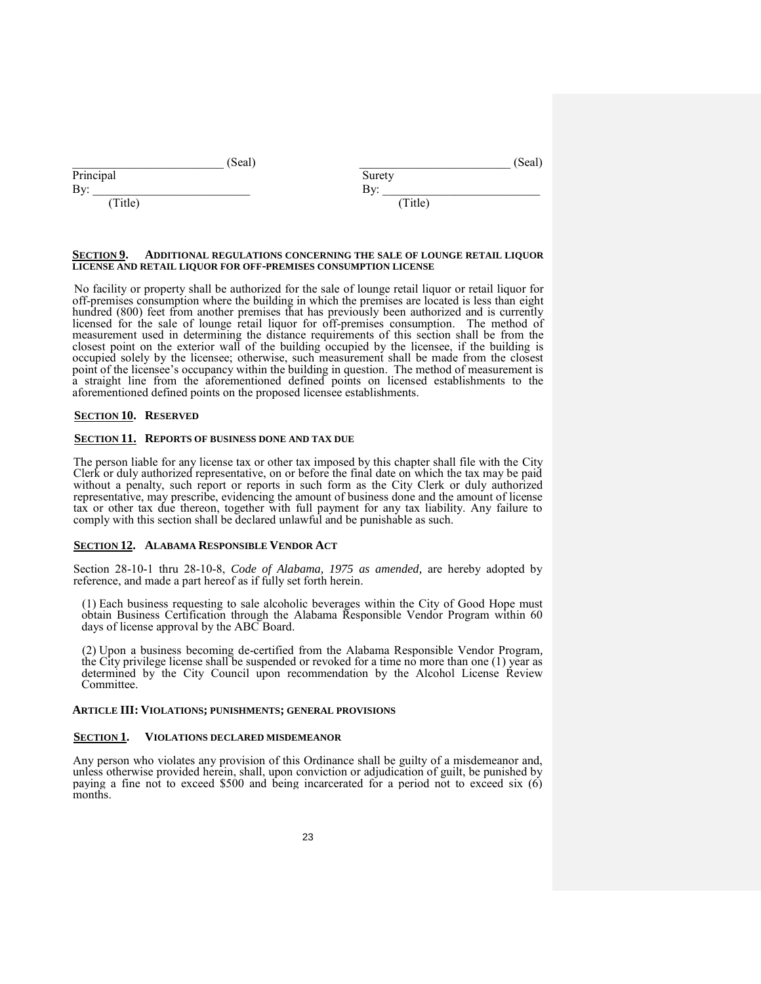| (Seal)    | (Seal)                           |
|-----------|----------------------------------|
| Principal | Surety                           |
| Bv:       | $\mathbf{D}_{\mathbf{v}}$<br>ົມ⊻ |
| Title)    | (Title)                          |

#### **SECTION 9. ADDITIONAL REGULATIONS CONCERNING THE SALE OF LOUNGE RETAIL LIQUOR LICENSE AND RETAIL LIQUOR FOR OFF-PREMISES CONSUMPTION LICENSE**

No facility or property shall be authorized for the sale of lounge retail liquor or retail liquor for off-premises consumption where the building in which the premises are located is less than eight hundred (800) feet from another premises that has previously been authorized and is currently licensed for the sale of lounge retail liquor for off-premises consumption. The method of measurement used in determining the distance requirements of this section shall be from the closest point on the exterior wall of the building occupied by the licensee, if the building is occupied solely by the licensee; otherwise, such measurement shall be made from the closest point of the licensee's occupancy within the building in question. The method of measurement is a straight line from the aforementioned defined points on licensed establishments to the aforementioned defined points on the proposed licensee establishments.

#### **SECTION 10. RESERVED**

#### **SECTION 11. REPORTS OF BUSINESS DONE AND TAX DUE**

The person liable for any license tax or other tax imposed by this chapter shall file with the City Clerk or duly authorized representative, on or before the final date on which the tax may be paid without a penalty, such report or reports in such form as the City Clerk or duly authorized representative, may prescribe, evidencing the amount of business done and the amount of license tax or other tax due thereon, together with full payment for any tax liability. Any failure to comply with this section shall be declared unlawful and be punishable as such.

### **SECTION 12. ALABAMA RESPONSIBLE VENDOR ACT**

Section 28-10-1 thru 28-10-8, *Code of Alabama, 1975 as amended,* are hereby adopted by reference, and made a part hereof as if fully set forth herein.

(1) Each business requesting to sale alcoholic beverages within the City of Good Hope must obtain Business Certification through the Alabama Responsible Vendor Program within 60 days of license approval by the ABC Board.

(2) Upon a business becoming de-certified from the Alabama Responsible Vendor Program*,*  the City privilege license shall be suspended or revoked for a time no more than one (1) year as determined by the City Council upon recommendation by the Alcohol License Review Committee.

#### **ARTICLE III: VIOLATIONS; PUNISHMENTS; GENERAL PROVISIONS**

#### **SECTION 1. VIOLATIONS DECLARED MISDEMEANOR**

Any person who violates any provision of this Ordinance shall be guilty of a misdemeanor and, unless otherwise provided herein, shall, upon conviction or adjudication of guilt, be punished by paying a fine not to exceed \$500 and being incarcerated for a period not to exceed six (6) months.